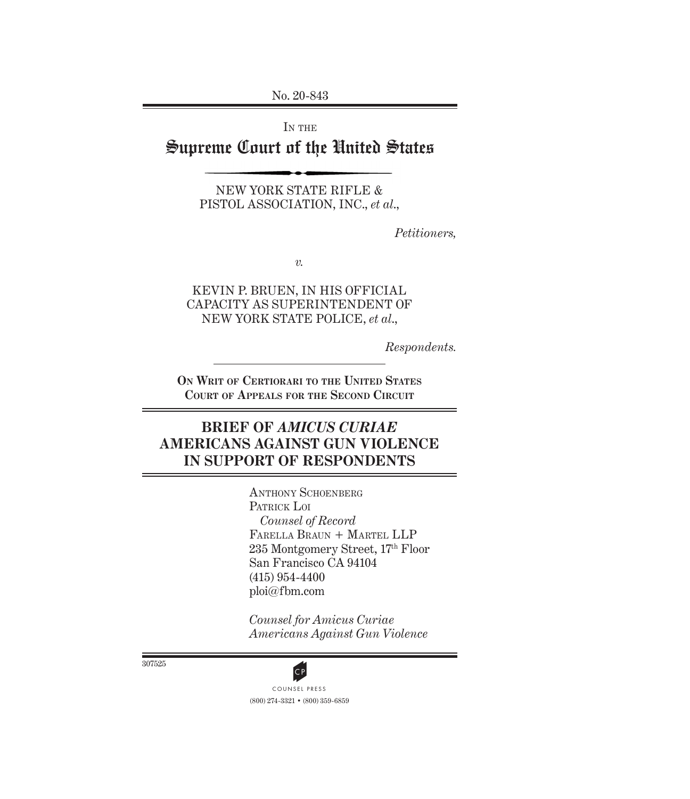No. 20-843

IN THE

# Supreme Court of the United States

New York State Rifle & Pistol Association, Inc., *et al*.,

*Petitioners,*

*v.*

Kevin P. Bruen, in His Official Capacity as Superintendent of New York State Police, *et al*.,

*Respondents.*

**On Writ of Certiorari to the United States Court of Appeals for the Second Circuit**

# **Brief of** *Amicus Curiae* **Americans Against Gun Violence in Support of RESPONDENTS**

ANTHONY SCHOENBERG PATRICK LOI *Counsel of Record* Farella Braun + Martel LLP 235 Montgomery Street, 17th Floor San Francisco CA 94104 (415) 954-4400 ploi@fbm.com

*Counsel for Amicus Curiae Americans Against Gun Violence* 

307525



(800) 274-3321 • (800) 359-6859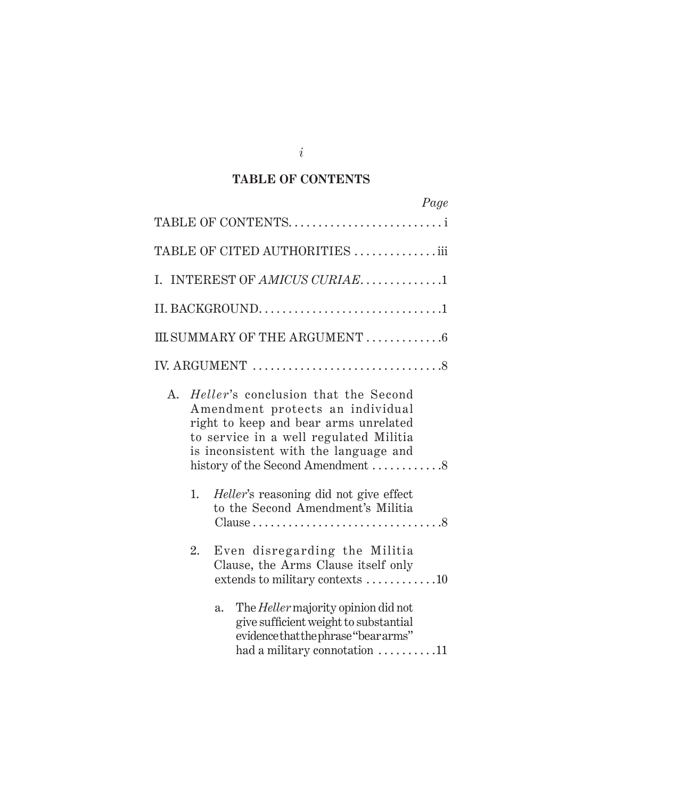## **TABLE OF CONTENTS**

|    |    |                                                                                                                                                                                                                                                 | Page |
|----|----|-------------------------------------------------------------------------------------------------------------------------------------------------------------------------------------------------------------------------------------------------|------|
|    |    | TABLE OF CONTENTSi                                                                                                                                                                                                                              |      |
|    |    | TABLE OF CITED AUTHORITIES iii                                                                                                                                                                                                                  |      |
|    |    | I. INTEREST OF AMICUS CURIAE1                                                                                                                                                                                                                   |      |
|    |    | II. BACKGROUND1                                                                                                                                                                                                                                 |      |
|    |    | III.SUMMARY OF THE ARGUMENT 6                                                                                                                                                                                                                   |      |
|    |    |                                                                                                                                                                                                                                                 |      |
| A. |    | <i>Heller's</i> conclusion that the Second<br>Amendment protects an individual<br>right to keep and bear arms unrelated<br>to service in a well regulated Militia<br>is inconsistent with the language and<br>history of the Second Amendment 8 |      |
|    | 1. | <i>Heller's</i> reasoning did not give effect<br>to the Second Amendment's Militia<br>Clause $\ldots \ldots \ldots \ldots \ldots \ldots \ldots \ldots \ldots \ldots 8$                                                                          |      |
|    | 2. | Even disregarding the Militia<br>Clause, the Arms Clause itself only<br>extends to military contexts 10                                                                                                                                         |      |
|    |    | The <i>Heller</i> majority opinion did not<br>a.<br>give sufficient weight to substantial<br>evidence that the phrase "bear arms"<br>had a military connotation 11                                                                              |      |

*i*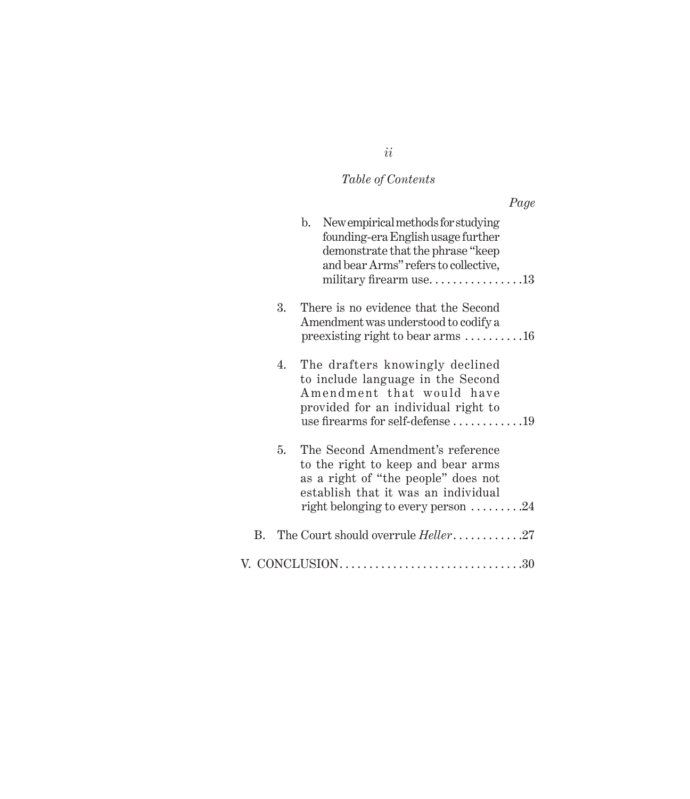# *Table of Contents*

# *Page*

|    | b. New empirical methods for studying<br>founding-era English usage further<br>demonstrate that the phrase "keep<br>and bear Arms" refers to collective,                                                 |
|----|----------------------------------------------------------------------------------------------------------------------------------------------------------------------------------------------------------|
| 3. | There is no evidence that the Second<br>Amendment was understood to codify a<br>preexisting right to bear arms 16                                                                                        |
| 4. | The drafters knowingly declined<br>to include language in the Second<br>Amendment that would have<br>provided for an individual right to<br>use firearms for self-defense 19                             |
| 5. | The Second Amendment's reference<br>to the right to keep and bear arms<br>as a right of "the people" does not<br>establish that it was an individual<br>right belonging to every person $\dots \dots 24$ |
|    | B. The Court should overrule <i>Heller</i> 27                                                                                                                                                            |
|    |                                                                                                                                                                                                          |

*ii*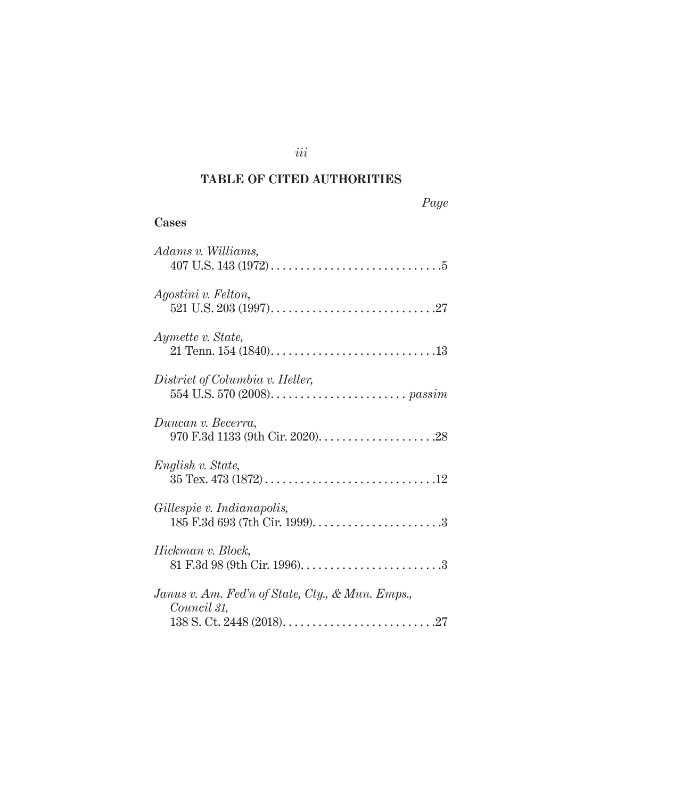## **TABLE OF CITED AUTHORITIES**

| Cases                                                           |
|-----------------------------------------------------------------|
| Adams v. Williams,                                              |
| Agostini v. Felton,                                             |
| Aymette v. State,                                               |
| District of Columbia v. Heller,                                 |
| Duncan v. Becerra,                                              |
| English v. State,                                               |
| Gillespie v. Indianapolis,                                      |
| Hickman v. Block,                                               |
| Janus v. Am. Fed'n of State, Cty., & Mun. Emps.,<br>Council 31, |
|                                                                 |

*iii*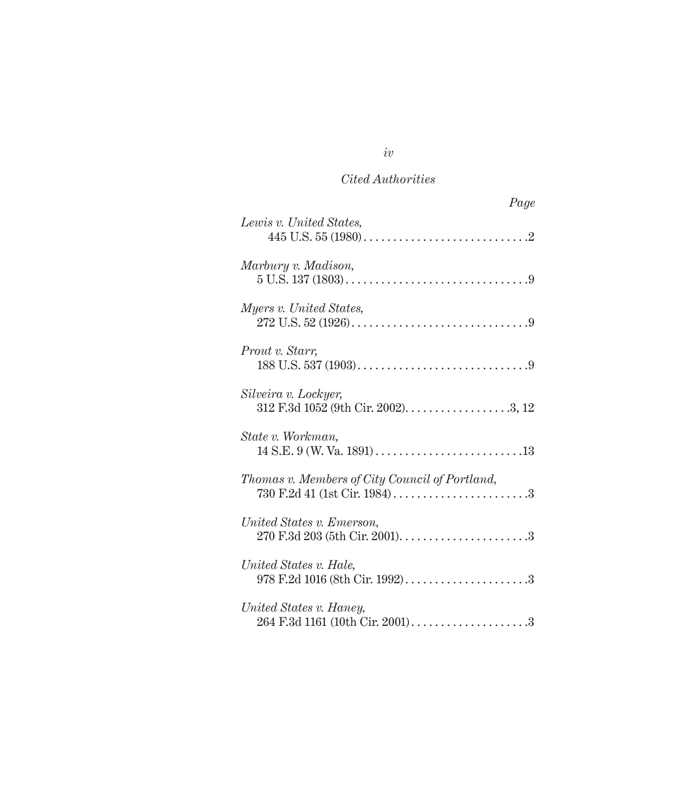| Page                                                       |
|------------------------------------------------------------|
| Lewis v. United States,                                    |
| Marbury v. Madison,                                        |
| Myers v. United States,                                    |
| Prout v. Starr,                                            |
| Silveira v. Lockyer,                                       |
| State v. Workman,                                          |
| Thomas v. Members of City Council of Portland,             |
| United States v. Emerson,                                  |
| United States v. Hale,<br>978 F.2d 1016 (8th Cir. 1992)3   |
| United States v. Haney,<br>264 F.3d 1161 (10th Cir. 2001)3 |

*iv*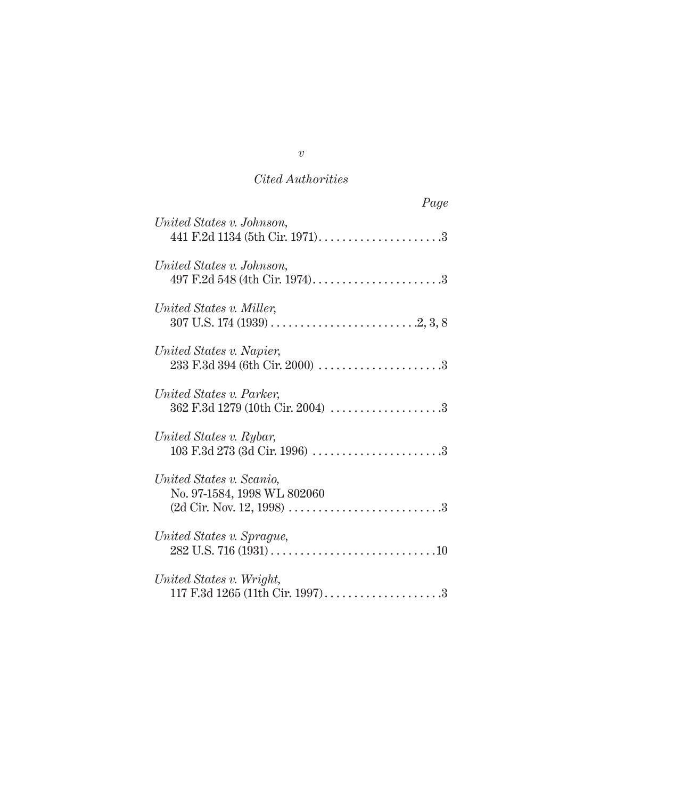| Page                                                         |
|--------------------------------------------------------------|
| United States v. Johnson,                                    |
| United States v. Johnson,<br>497 F.2d 548 (4th Cir. 1974)3   |
| United States v. Miller,                                     |
| United States v. Napier,                                     |
| United States v. Parker,<br>362 F.3d 1279 (10th Cir. 2004) 3 |
| United States v. Rybar,                                      |
| United States v. Scanio,<br>No. 97-1584, 1998 WL 802060      |
| United States v. Sprague,                                    |
| United States v. Wright,                                     |

*v*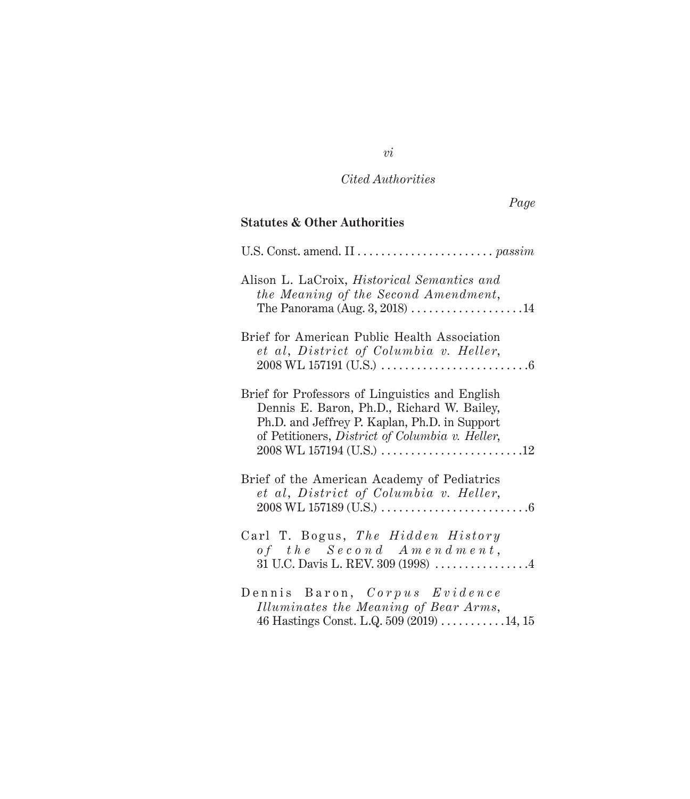# *Page*

## **Statutes & Other Authorities**

| Alison L. LaCroix, <i>Historical Semantics and</i><br>the Meaning of the Second Amendment,<br>The Panorama (Aug. $3, 2018$ ) 14                                                                   |
|---------------------------------------------------------------------------------------------------------------------------------------------------------------------------------------------------|
| Brief for American Public Health Association<br>et al, District of Columbia v. Heller,                                                                                                            |
| Brief for Professors of Linguistics and English<br>Dennis E. Baron, Ph.D., Richard W. Bailey,<br>Ph.D. and Jeffrey P. Kaplan, Ph.D. in Support<br>of Petitioners, District of Columbia v. Heller, |
| Brief of the American Academy of Pediatrics<br>et al, District of Columbia v. Heller,                                                                                                             |
| Carl T. Bogus, The Hidden History<br>of the $Second$ $A$ $m$ $e$ $n$ $d$ $m$ $e$ $n$ $t$ ,                                                                                                        |
| Dennis Baron, Corpus Evidence<br>Illuminates the Meaning of Bear Arms,<br>46 Hastings Const. L.Q. 509 (2019)  14, 15                                                                              |

*vi*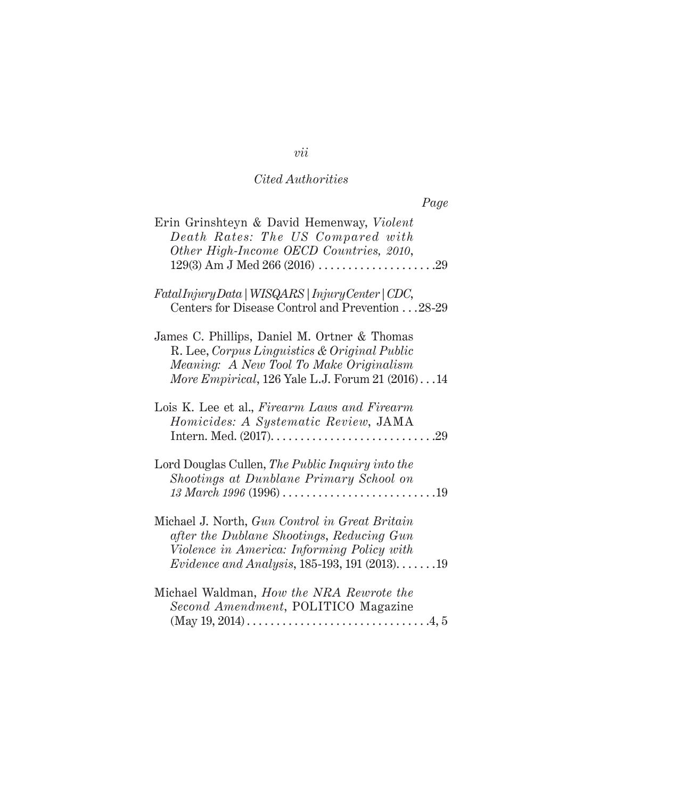| Page                                                                                                                                                                                                |
|-----------------------------------------------------------------------------------------------------------------------------------------------------------------------------------------------------|
| Erin Grinshteyn & David Hemenway, Violent<br>Death Rates: The US Compared with<br>Other High-Income OECD Countries, 2010,                                                                           |
| FatalInjuryData   WISQARS   InjuryCenter   CDC,<br>Centers for Disease Control and Prevention 28-29                                                                                                 |
| James C. Phillips, Daniel M. Ortner & Thomas<br>R. Lee, Corpus Linguistics & Original Public<br>Meaning: A New Tool To Make Originalism<br>More Empirical, 126 Yale L.J. Forum 21 $(2016) \dots 14$ |
| Lois K. Lee et al., Firearm Laws and Firearm<br>Homicides: A Systematic Review, JAMA                                                                                                                |
| Lord Douglas Cullen, The Public Inquiry into the<br>Shootings at Dunblane Primary School on                                                                                                         |
| Michael J. North, Gun Control in Great Britain<br>after the Dublane Shootings, Reducing Gun<br>Violence in America: Informing Policy with<br><i>Evidence and Analysis</i> , 185-193, 191 (2013)19   |
| Michael Waldman, How the NRA Rewrote the<br>Second Amendment, POLITICO Magazine                                                                                                                     |

# *vii*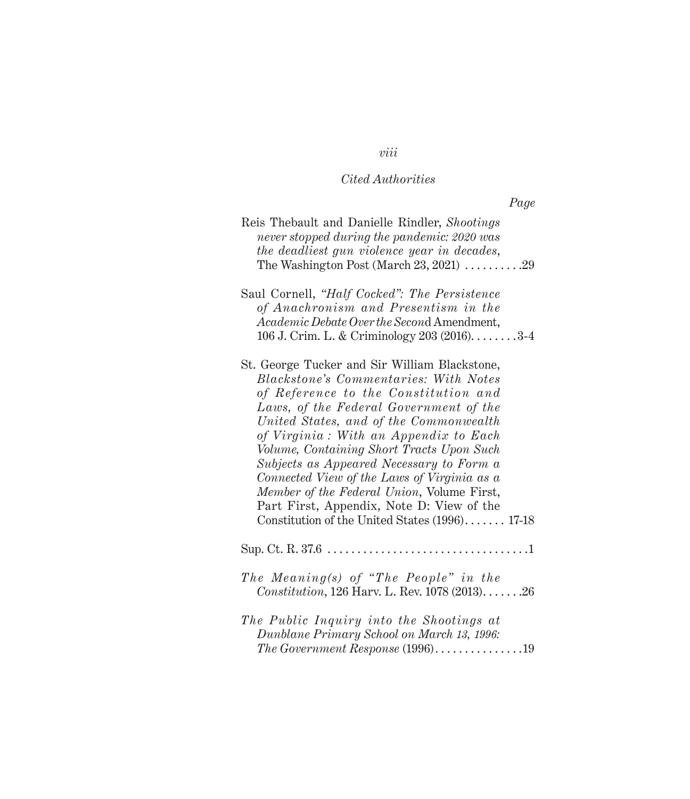| Reis Thebault and Danielle Rindler, Shootings<br>never stopped during the pandemic: 2020 was<br>the deadliest gun violence year in decades,<br>The Washington Post (March 23, 2021) $\ldots \ldots \ldots$ .29                                                                                                                                                                                                                                                                                                                                          |
|---------------------------------------------------------------------------------------------------------------------------------------------------------------------------------------------------------------------------------------------------------------------------------------------------------------------------------------------------------------------------------------------------------------------------------------------------------------------------------------------------------------------------------------------------------|
| Saul Cornell, "Half Cocked": The Persistence<br>of Anachronism and Presentism in the<br>Academic Debate Over the Second Amendment,<br>106 J. Crim. L. & Criminology 203 (2016). 3-4                                                                                                                                                                                                                                                                                                                                                                     |
| St. George Tucker and Sir William Blackstone,<br><b>Blackstone's Commentaries: With Notes</b><br>of Reference to the Constitution and<br>Laws, of the Federal Government of the<br>United States, and of the Commonwealth<br>of Virginia: With an Appendix to Each<br>Volume, Containing Short Tracts Upon Such<br>Subjects as Appeared Necessary to Form a<br>Connected View of the Laws of Virginia as a<br>Member of the Federal Union, Volume First,<br>Part First, Appendix, Note D: View of the<br>Constitution of the United States (1996) 17-18 |
|                                                                                                                                                                                                                                                                                                                                                                                                                                                                                                                                                         |
| The Meaning(s) of "The People" in the<br>Constitution, 126 Harv. L. Rev. 1078 (2013)26                                                                                                                                                                                                                                                                                                                                                                                                                                                                  |
| The Public Inquiry into the Shootings at<br>Dunblane Primary School on March 13, 1996:<br>The Government Response $(1996)$ 19                                                                                                                                                                                                                                                                                                                                                                                                                           |

# *viii*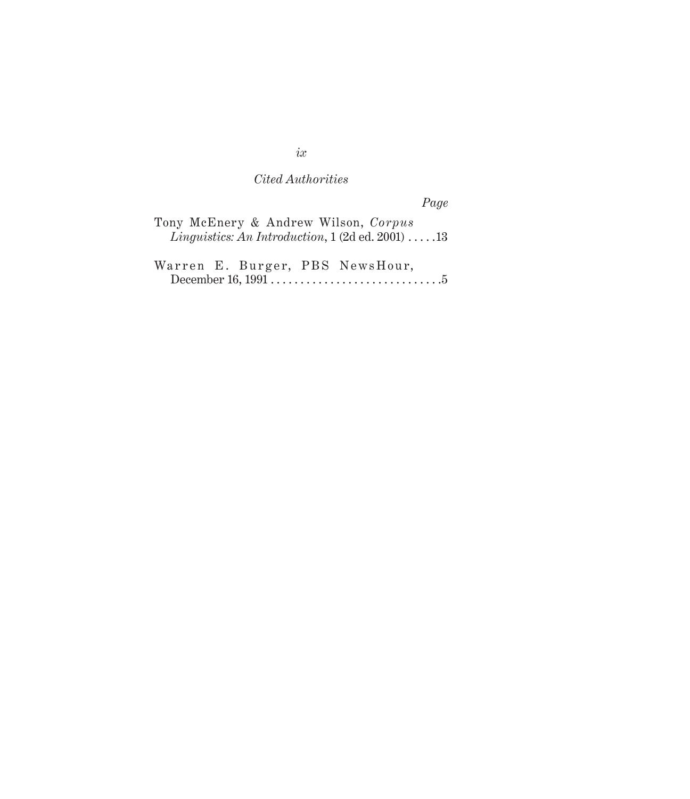*Page*

|  | Tony McEnery & Andrew Wilson, Corpus                                     |  |  |
|--|--------------------------------------------------------------------------|--|--|
|  | <i>Linguistics: An Introduction,</i> $1(2d \text{ ed. } 2001) \ldots 13$ |  |  |

Warren E. Burger, PBS NewsHour, December 16,  $1991$ .  $\ldots$   $\ldots$   $\ldots$   $\ldots$   $\ldots$   $\ldots$  .  $5$ 

*ix*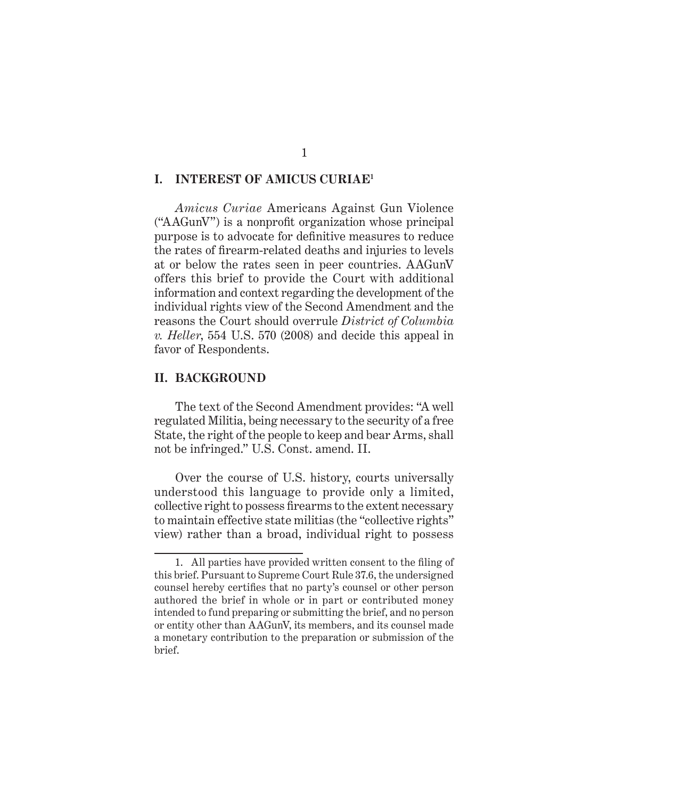### **I. INTEREST OF AMICUS CURIAE1**

*Amicus Curiae* Americans Against Gun Violence ("AAGunV") is a nonprofit organization whose principal purpose is to advocate for definitive measures to reduce the rates of firearm-related deaths and injuries to levels at or below the rates seen in peer countries. AAGunV offers this brief to provide the Court with additional information and context regarding the development of the individual rights view of the Second Amendment and the reasons the Court should overrule *District of Columbia v. Heller*, 554 U.S. 570 (2008) and decide this appeal in favor of Respondents.

#### **II. BACKGROUND**

The text of the Second Amendment provides: "A well regulated Militia, being necessary to the security of a free State, the right of the people to keep and bear Arms, shall not be infringed." U.S. Const. amend. II.

Over the course of U.S. history, courts universally understood this language to provide only a limited, collective right to possess firearms to the extent necessary to maintain effective state militias (the "collective rights" view) rather than a broad, individual right to possess

<sup>1.</sup> All parties have provided written consent to the filing of this brief. Pursuant to Supreme Court Rule 37.6, the undersigned counsel hereby certifies that no party's counsel or other person authored the brief in whole or in part or contributed money intended to fund preparing or submitting the brief, and no person or entity other than AAGunV, its members, and its counsel made a monetary contribution to the preparation or submission of the brief.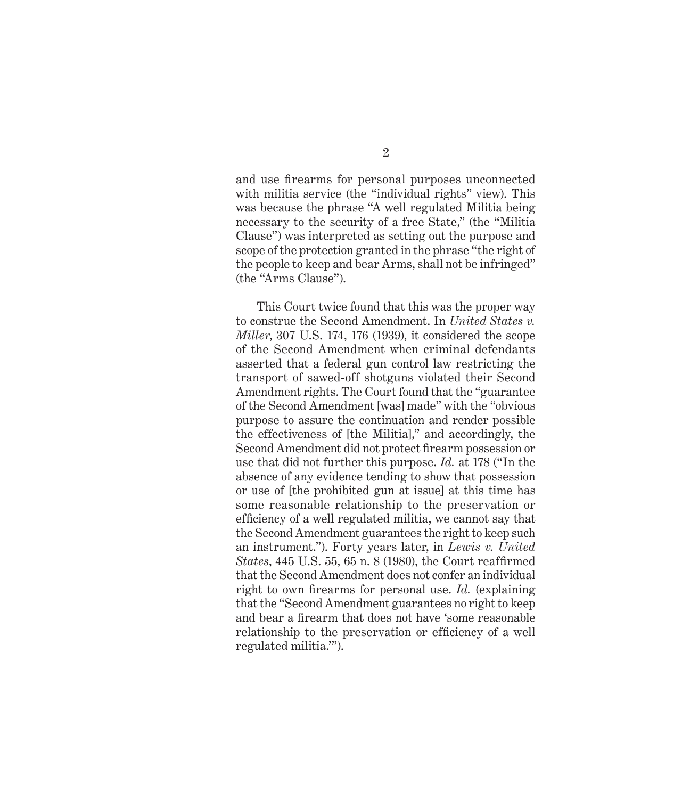and use firearms for personal purposes unconnected with militia service (the "individual rights" view). This was because the phrase "A well regulated Militia being necessary to the security of a free State," (the "Militia Clause") was interpreted as setting out the purpose and scope of the protection granted in the phrase "the right of the people to keep and bear Arms, shall not be infringed" (the "Arms Clause").

This Court twice found that this was the proper way to construe the Second Amendment. In *United States v. Miller*, 307 U.S. 174, 176 (1939), it considered the scope of the Second Amendment when criminal defendants asserted that a federal gun control law restricting the transport of sawed-off shotguns violated their Second Amendment rights. The Court found that the "guarantee of the Second Amendment [was] made" with the "obvious purpose to assure the continuation and render possible the effectiveness of [the Militia]," and accordingly, the Second Amendment did not protect firearm possession or use that did not further this purpose. *Id.* at 178 ("In the absence of any evidence tending to show that possession or use of [the prohibited gun at issue] at this time has some reasonable relationship to the preservation or efficiency of a well regulated militia, we cannot say that the Second Amendment guarantees the right to keep such an instrument."). Forty years later, in *Lewis v. United States*, 445 U.S. 55, 65 n. 8 (1980), the Court reaffirmed that the Second Amendment does not confer an individual right to own firearms for personal use. *Id.* (explaining that the "Second Amendment guarantees no right to keep and bear a firearm that does not have 'some reasonable relationship to the preservation or efficiency of a well regulated militia.'").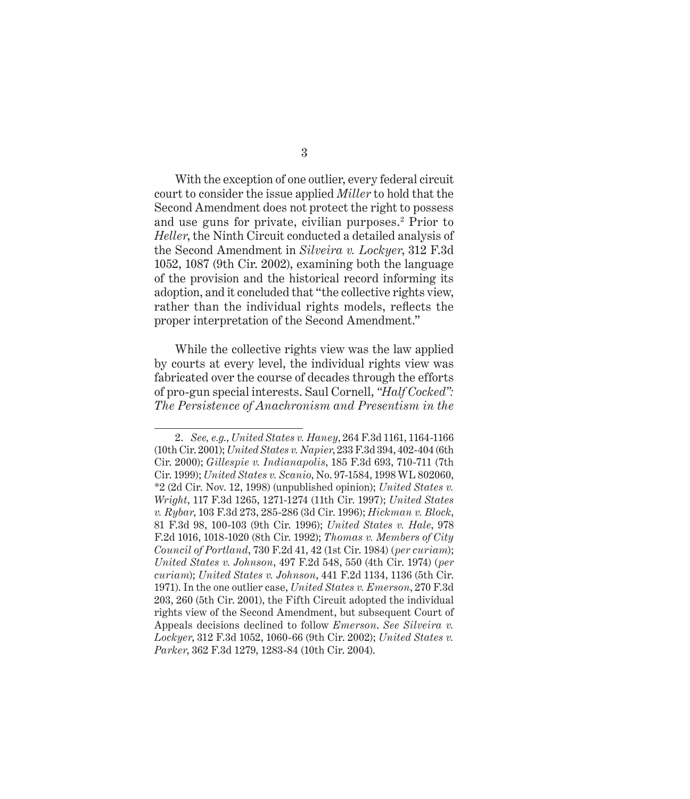With the exception of one outlier, every federal circuit court to consider the issue applied *Miller* to hold that the Second Amendment does not protect the right to possess and use guns for private, civilian purposes.<sup>2</sup> Prior to

*Heller*, the Ninth Circuit conducted a detailed analysis of the Second Amendment in *Silveira v. Lockyer*, 312 F.3d 1052, 1087 (9th Cir. 2002), examining both the language of the provision and the historical record informing its adoption, and it concluded that "the collective rights view, rather than the individual rights models, reflects the proper interpretation of the Second Amendment."

While the collective rights view was the law applied by courts at every level, the individual rights view was fabricated over the course of decades through the efforts of pro-gun special interests. Saul Cornell, *"Half Cocked": The Persistence of Anachronism and Presentism in the* 

<sup>2.</sup> *See, e.g.*, *United States v. Haney*, 264 F.3d 1161, 1164-1166 (10th Cir. 2001); *United States v. Napier*, 233 F.3d 394, 402-404 (6th Cir. 2000); *Gillespie v. Indianapolis*, 185 F.3d 693, 710-711 (7th Cir. 1999); *United States v. Scanio*, No. 97-1584, 1998 WL 802060, \*2 (2d Cir. Nov. 12, 1998) (unpublished opinion); *United States v. Wright*, 117 F.3d 1265, 1271-1274 (11th Cir. 1997); *United States v. Rybar*, 103 F.3d 273, 285-286 (3d Cir. 1996); *Hickman v. Block*, 81 F.3d 98, 100-103 (9th Cir. 1996); *United States v. Hale*, 978 F.2d 1016, 1018-1020 (8th Cir. 1992); *Thomas v. Members of City Council of Portland*, 730 F.2d 41, 42 (1st Cir. 1984) (*per curiam*); *United States v. Johnson*, 497 F.2d 548, 550 (4th Cir. 1974) (*per curiam*); *United States v. Johnson*, 441 F.2d 1134, 1136 (5th Cir. 1971). In the one outlier case, *United States v. Emerson*, 270 F.3d 203, 260 (5th Cir. 2001), the Fifth Circuit adopted the individual rights view of the Second Amendment, but subsequent Court of Appeals decisions declined to follow *Emerson*. *See Silveira v. Lockyer*, 312 F.3d 1052, 1060-66 (9th Cir. 2002); *United States v. Parker*, 362 F.3d 1279, 1283-84 (10th Cir. 2004).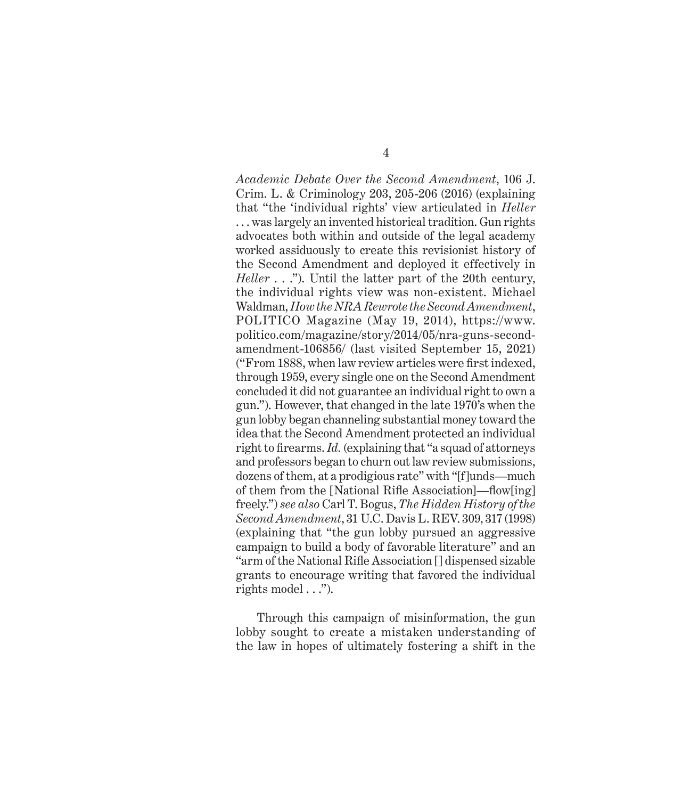*Academic Debate Over the Second Amendment*, 106 J. Crim. L. & Criminology 203, 205-206 (2016) (explaining that "the 'individual rights' view articulated in *Heller* . . . was largely an invented historical tradition. Gun rights advocates both within and outside of the legal academy worked assiduously to create this revisionist history of the Second Amendment and deployed it effectively in *Heller* . . ."). Until the latter part of the 20th century, the individual rights view was non-existent. Michael Waldman, *How the NRA Rewrote the Second Amendment*, POLITICO Magazine (May 19, 2014), https://www. politico.com/magazine/story/2014/05/nra-guns-secondamendment-106856/ (last visited September 15, 2021) ("From 1888, when law review articles were first indexed, through 1959, every single one on the Second Amendment concluded it did not guarantee an individual right to own a gun."). However, that changed in the late 1970's when the gun lobby began channeling substantial money toward the idea that the Second Amendment protected an individual right to firearms. *Id.* (explaining that "a squad of attorneys and professors began to churn out law review submissions, dozens of them, at a prodigious rate" with "[f]unds—much of them from the [National Rifle Association]—flow[ing] freely.") *see also* Carl T. Bogus, *The Hidden History of the Second Amendment*, 31 U.C. Davis L. REV. 309, 317 (1998) (explaining that "the gun lobby pursued an aggressive campaign to build a body of favorable literature" and an "arm of the National Rifle Association [] dispensed sizable grants to encourage writing that favored the individual rights model  $\ldots$ ").

Through this campaign of misinformation, the gun lobby sought to create a mistaken understanding of the law in hopes of ultimately fostering a shift in the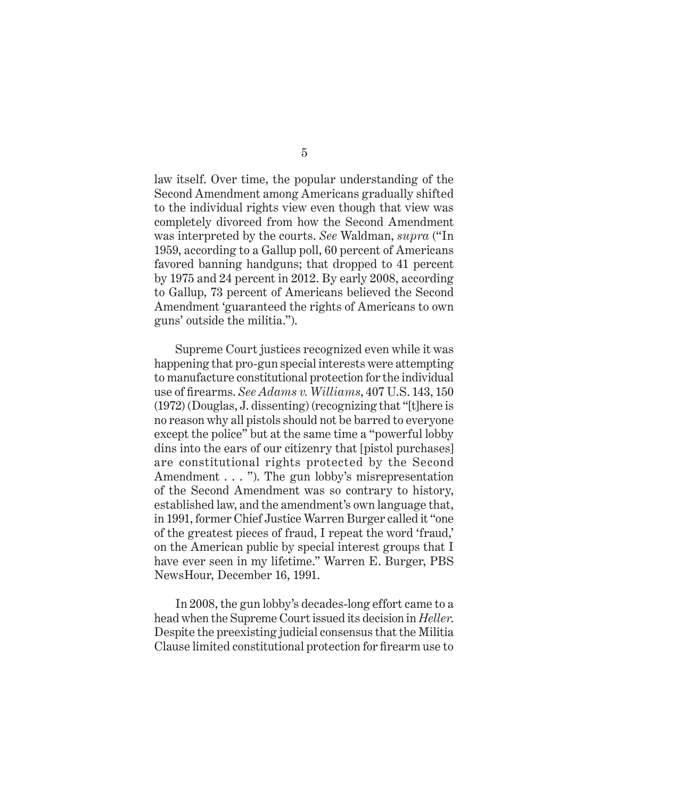law itself. Over time, the popular understanding of the Second Amendment among Americans gradually shifted to the individual rights view even though that view was completely divorced from how the Second Amendment was interpreted by the courts. *See* Waldman, *supra* ("In 1959, according to a Gallup poll, 60 percent of Americans favored banning handguns; that dropped to 41 percent by 1975 and 24 percent in 2012. By early 2008, according to Gallup, 73 percent of Americans believed the Second Amendment 'guaranteed the rights of Americans to own guns' outside the militia.").

Supreme Court justices recognized even while it was happening that pro-gun special interests were attempting to manufacture constitutional protection for the individual use of firearms. *See Adams v. Williams*, 407 U.S. 143, 150 (1972) (Douglas, J. dissenting) (recognizing that "[t]here is no reason why all pistols should not be barred to everyone except the police" but at the same time a "powerful lobby dins into the ears of our citizenry that [pistol purchases] are constitutional rights protected by the Second Amendment . . . "). The gun lobby's misrepresentation of the Second Amendment was so contrary to history, established law, and the amendment's own language that, in 1991, former Chief Justice Warren Burger called it "one of the greatest pieces of fraud, I repeat the word 'fraud,' on the American public by special interest groups that I have ever seen in my lifetime." Warren E. Burger, PBS NewsHour, December 16, 1991.

In 2008, the gun lobby's decades-long effort came to a head when the Supreme Court issued its decision in *Heller*. Despite the preexisting judicial consensus that the Militia Clause limited constitutional protection for firearm use to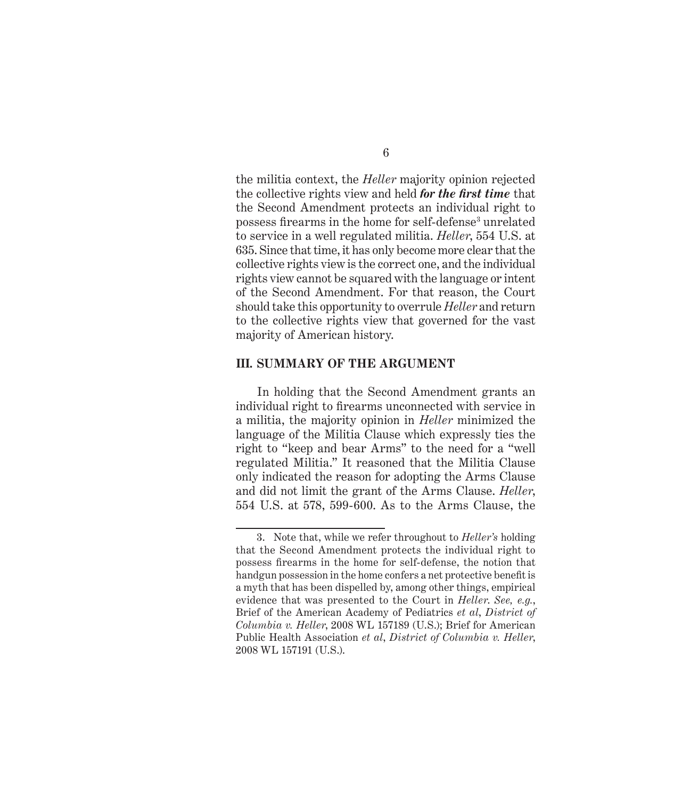the militia context, the *Heller* majority opinion rejected the collective rights view and held *for the first time* that the Second Amendment protects an individual right to possess firearms in the home for self-defense<sup>3</sup> unrelated to service in a well regulated militia. *Heller*, 554 U.S. at 635. Since that time, it has only become more clear that the collective rights view is the correct one, and the individual rights view cannot be squared with the language or intent of the Second Amendment. For that reason, the Court should take this opportunity to overrule *Heller* and return to the collective rights view that governed for the vast majority of American history.

#### **III. SUMMARY OF THE ARGUMENT**

In holding that the Second Amendment grants an individual right to firearms unconnected with service in a militia, the majority opinion in *Heller* minimized the language of the Militia Clause which expressly ties the right to "keep and bear Arms" to the need for a "well regulated Militia." It reasoned that the Militia Clause only indicated the reason for adopting the Arms Clause and did not limit the grant of the Arms Clause. *Heller*, 554 U.S. at 578, 599-600. As to the Arms Clause, the

<sup>3.</sup> Note that, while we refer throughout to *Heller's* holding that the Second Amendment protects the individual right to possess firearms in the home for self-defense, the notion that handgun possession in the home confers a net protective benefit is a myth that has been dispelled by, among other things, empirical evidence that was presented to the Court in *Heller*. *See, e.g.*, Brief of the American Academy of Pediatrics *et al*, *District of Columbia v. Heller*, 2008 WL 157189 (U.S.); Brief for American Public Health Association *et al*, *District of Columbia v. Heller*, 2008 WL 157191 (U.S.).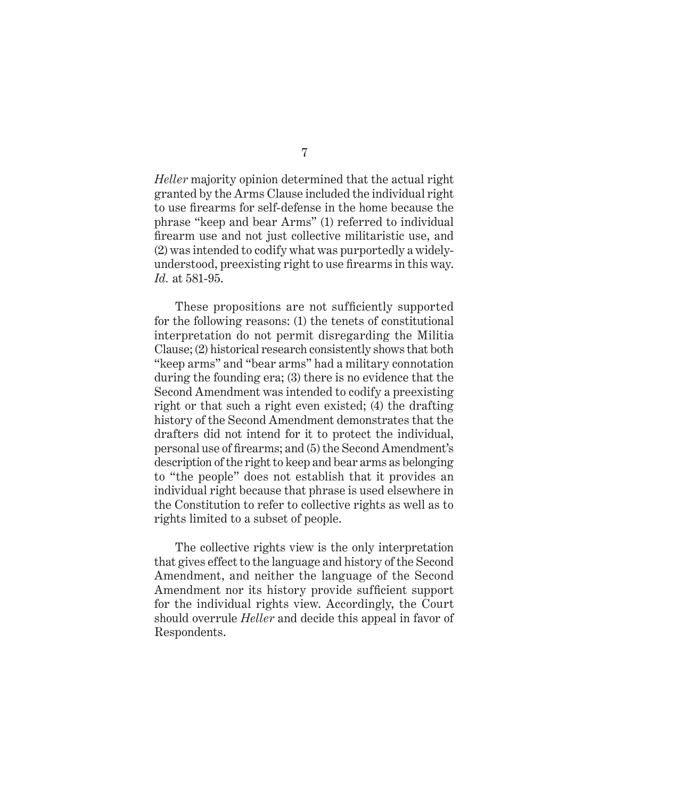*Heller* majority opinion determined that the actual right granted by the Arms Clause included the individual right to use firearms for self-defense in the home because the phrase "keep and bear Arms" (1) referred to individual firearm use and not just collective militaristic use, and (2) was intended to codify what was purportedly a widelyunderstood, preexisting right to use firearms in this way. *Id.* at 581-95.

These propositions are not sufficiently supported for the following reasons: (1) the tenets of constitutional interpretation do not permit disregarding the Militia Clause; (2) historical research consistently shows that both "keep arms" and "bear arms" had a military connotation during the founding era; (3) there is no evidence that the Second Amendment was intended to codify a preexisting right or that such a right even existed; (4) the drafting history of the Second Amendment demonstrates that the drafters did not intend for it to protect the individual, personal use of firearms; and (5) the Second Amendment's description of the right to keep and bear arms as belonging to "the people" does not establish that it provides an individual right because that phrase is used elsewhere in the Constitution to refer to collective rights as well as to rights limited to a subset of people.

The collective rights view is the only interpretation that gives effect to the language and history of the Second Amendment, and neither the language of the Second Amendment nor its history provide sufficient support for the individual rights view. Accordingly, the Court should overrule *Heller* and decide this appeal in favor of Respondents.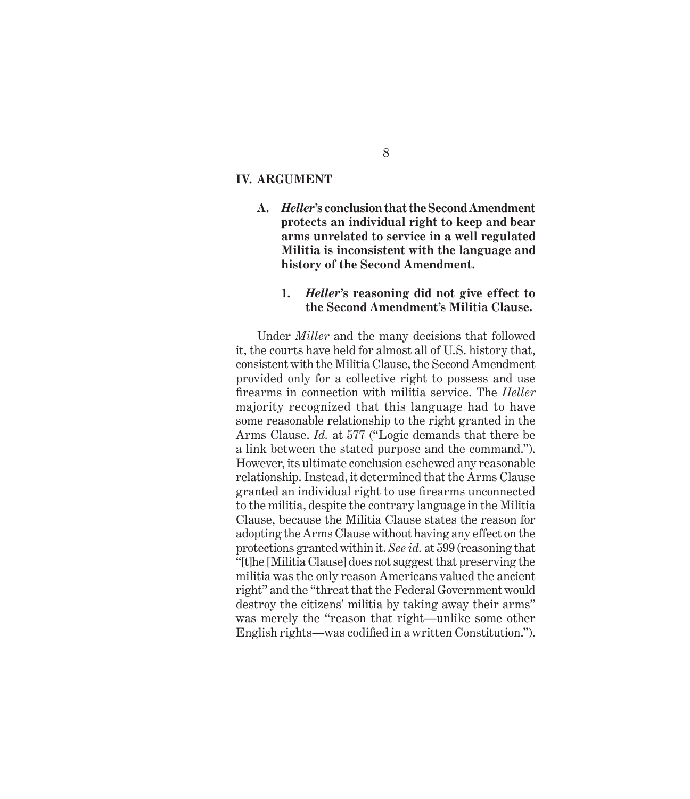#### **IV. ARGUMENT**

**A.** *Heller***'s conclusion that the Second Amendment protects an individual right to keep and bear arms unrelated to service in a well regulated Militia is inconsistent with the language and history of the Second Amendment.**

### **1.** *Heller***'s reasoning did not give effect to the Second Amendment's Militia Clause.**

Under *Miller* and the many decisions that followed it, the courts have held for almost all of U.S. history that, consistent with the Militia Clause, the Second Amendment provided only for a collective right to possess and use firearms in connection with militia service. The *Heller*  majority recognized that this language had to have some reasonable relationship to the right granted in the Arms Clause. *Id.* at 577 ("Logic demands that there be a link between the stated purpose and the command."). However, its ultimate conclusion eschewed any reasonable relationship. Instead, it determined that the Arms Clause granted an individual right to use firearms unconnected to the militia, despite the contrary language in the Militia Clause, because the Militia Clause states the reason for adopting the Arms Clause without having any effect on the protections granted within it. *See id.* at 599 (reasoning that "[t]he [Militia Clause] does not suggest that preserving the militia was the only reason Americans valued the ancient right" and the "threat that the Federal Government would destroy the citizens' militia by taking away their arms" was merely the "reason that right—unlike some other English rights—was codified in a written Constitution.").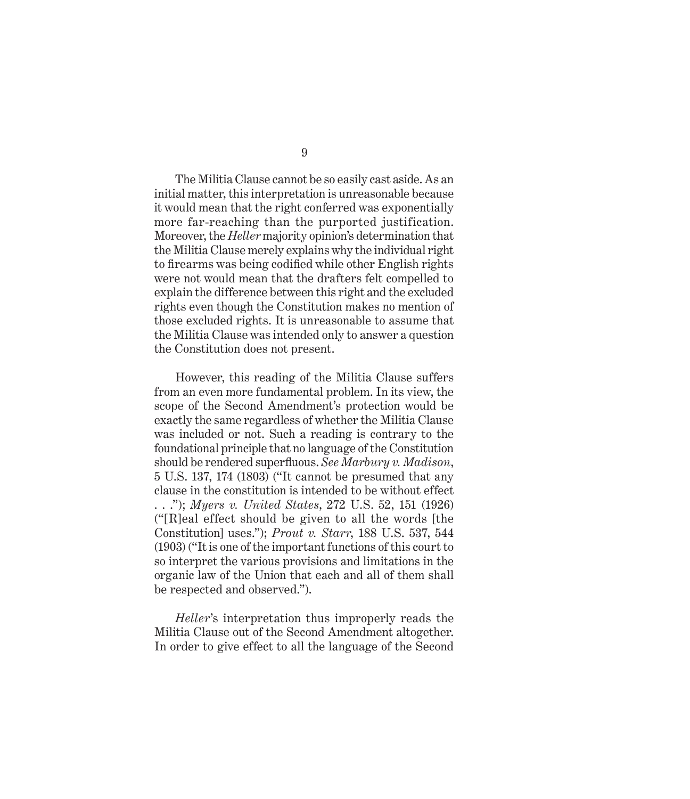9

The Militia Clause cannot be so easily cast aside. As an initial matter, this interpretation is unreasonable because it would mean that the right conferred was exponentially more far-reaching than the purported justification. Moreover, the *Heller* majority opinion's determination that the Militia Clause merely explains why the individual right to firearms was being codified while other English rights were not would mean that the drafters felt compelled to explain the difference between this right and the excluded rights even though the Constitution makes no mention of those excluded rights. It is unreasonable to assume that the Militia Clause was intended only to answer a question the Constitution does not present.

However, this reading of the Militia Clause suffers from an even more fundamental problem. In its view, the scope of the Second Amendment's protection would be exactly the same regardless of whether the Militia Clause was included or not. Such a reading is contrary to the foundational principle that no language of the Constitution should be rendered superfluous. *See Marbury v. Madison*, 5 U.S. 137, 174 (1803) ("It cannot be presumed that any clause in the constitution is intended to be without effect . . ."); *Myers v. United States*, 272 U.S. 52, 151 (1926) ("[R]eal effect should be given to all the words [the Constitution] uses."); *Prout v. Starr*, 188 U.S. 537, 544 (1903) ("It is one of the important functions of this court to so interpret the various provisions and limitations in the organic law of the Union that each and all of them shall be respected and observed.").

*Heller*'s interpretation thus improperly reads the Militia Clause out of the Second Amendment altogether. In order to give effect to all the language of the Second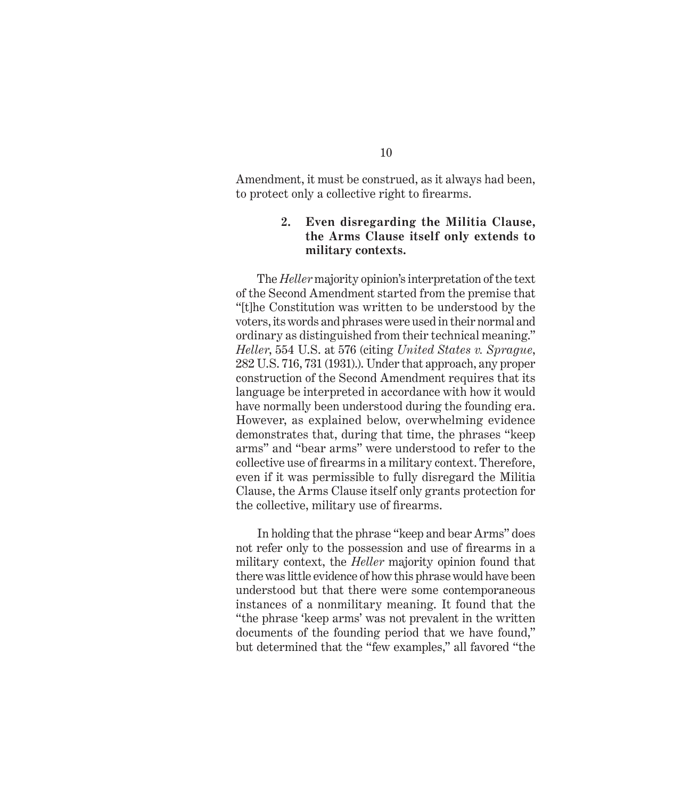Amendment, it must be construed, as it always had been, to protect only a collective right to firearms.

## **2. Even disregarding the Militia Clause, the Arms Clause itself only extends to military contexts.**

The *Heller* majority opinion's interpretation of the text of the Second Amendment started from the premise that "[t]he Constitution was written to be understood by the voters, its words and phrases were used in their normal and ordinary as distinguished from their technical meaning." *Heller*, 554 U.S. at 576 (citing *United States v. Sprague*, 282 U.S. 716, 731 (1931).). Under that approach, any proper construction of the Second Amendment requires that its language be interpreted in accordance with how it would have normally been understood during the founding era. However, as explained below, overwhelming evidence demonstrates that, during that time, the phrases "keep arms" and "bear arms" were understood to refer to the collective use of firearms in a military context. Therefore, even if it was permissible to fully disregard the Militia Clause, the Arms Clause itself only grants protection for the collective, military use of firearms.

In holding that the phrase "keep and bear Arms" does not refer only to the possession and use of firearms in a military context, the *Heller* majority opinion found that there was little evidence of how this phrase would have been understood but that there were some contemporaneous instances of a nonmilitary meaning. It found that the "the phrase 'keep arms' was not prevalent in the written documents of the founding period that we have found," but determined that the "few examples," all favored "the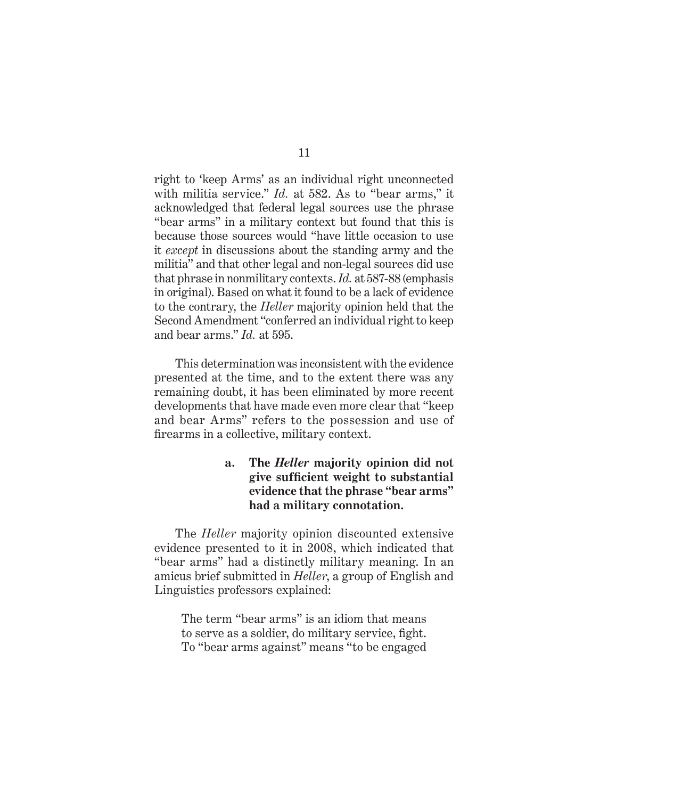right to 'keep Arms' as an individual right unconnected with militia service." *Id.* at 582. As to "bear arms," it acknowledged that federal legal sources use the phrase "bear arms" in a military context but found that this is because those sources would "have little occasion to use it *except* in discussions about the standing army and the militia" and that other legal and non-legal sources did use that phrase in nonmilitary contexts. *Id.* at 587-88 (emphasis in original). Based on what it found to be a lack of evidence to the contrary, the *Heller* majority opinion held that the Second Amendment "conferred an individual right to keep and bear arms." *Id.* at 595.

This determination was inconsistent with the evidence presented at the time, and to the extent there was any remaining doubt, it has been eliminated by more recent developments that have made even more clear that "keep and bear Arms" refers to the possession and use of firearms in a collective, military context.

## **a. The** *Heller* **majority opinion did not give sufficient weight to substantial evidence that the phrase "bear arms" had a military connotation.**

The *Heller* majority opinion discounted extensive evidence presented to it in 2008, which indicated that "bear arms" had a distinctly military meaning. In an amicus brief submitted in *Heller*, a group of English and Linguistics professors explained:

The term "bear arms" is an idiom that means to serve as a soldier, do military service, fight. To "bear arms against" means "to be engaged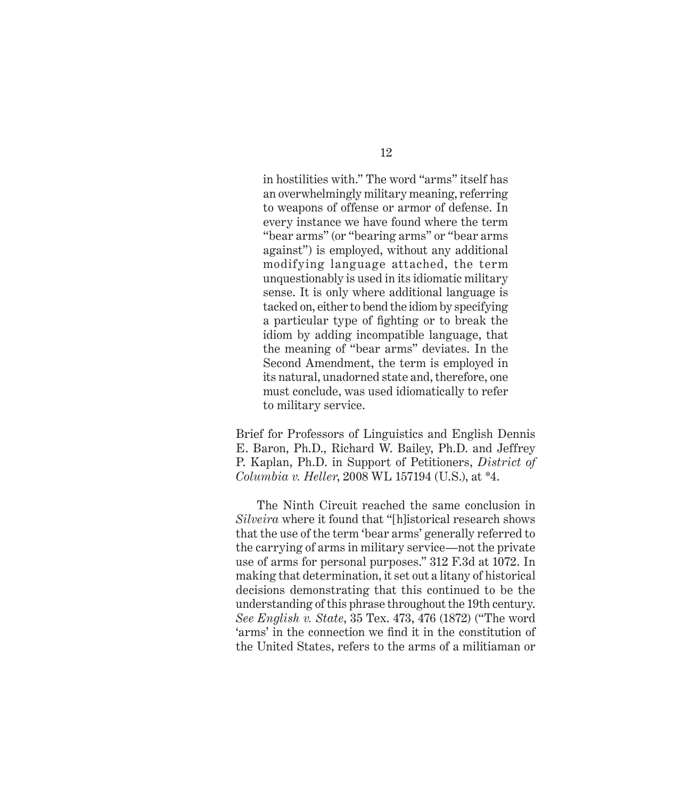in hostilities with." The word "arms" itself has an overwhelmingly military meaning, referring to weapons of offense or armor of defense. In every instance we have found where the term "bear arms" (or "bearing arms" or "bear arms against") is employed, without any additional modifying language attached, the term unquestionably is used in its idiomatic military sense. It is only where additional language is tacked on, either to bend the idiom by specifying a particular type of fighting or to break the idiom by adding incompatible language, that the meaning of "bear arms" deviates. In the Second Amendment, the term is employed in its natural, unadorned state and, therefore, one must conclude, was used idiomatically to refer to military service.

Brief for Professors of Linguistics and English Dennis E. Baron, Ph.D., Richard W. Bailey, Ph.D. and Jeffrey P. Kaplan, Ph.D. in Support of Petitioners, *District of Columbia v. Heller*, 2008 WL 157194 (U.S.), at \*4.

The Ninth Circuit reached the same conclusion in *Silveira* where it found that "[h]istorical research shows that the use of the term 'bear arms' generally referred to the carrying of arms in military service—not the private use of arms for personal purposes." 312 F.3d at 1072. In making that determination, it set out a litany of historical decisions demonstrating that this continued to be the understanding of this phrase throughout the 19th century. *See English v. State*, 35 Tex. 473, 476 (1872) ("The word 'arms' in the connection we find it in the constitution of the United States, refers to the arms of a militiaman or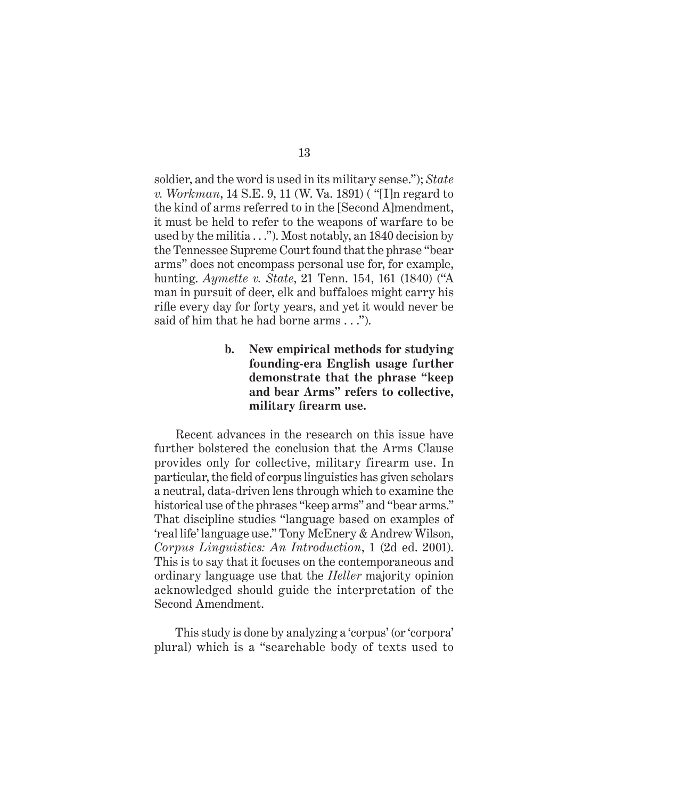soldier, and the word is used in its military sense."); *State v. Workman*, 14 S.E. 9, 11 (W. Va. 1891) ( "[I]n regard to the kind of arms referred to in the [Second A]mendment, it must be held to refer to the weapons of warfare to be used by the militia . . ."). Most notably, an 1840 decision by the Tennessee Supreme Court found that the phrase "bear arms" does not encompass personal use for, for example, hunting. *Aymette v. State*, 21 Tenn. 154, 161 (1840) ("A man in pursuit of deer, elk and buffaloes might carry his rifle every day for forty years, and yet it would never be said of him that he had borne arms . . .").

> **b. New empirical methods for studying founding-era English usage further demonstrate that the phrase "keep and bear Arms" refers to collective, military firearm use.**

Recent advances in the research on this issue have further bolstered the conclusion that the Arms Clause provides only for collective, military firearm use. In particular, the field of corpus linguistics has given scholars a neutral, data-driven lens through which to examine the historical use of the phrases "keep arms" and "bear arms." That discipline studies "language based on examples of 'real life' language use." Tony McEnery & Andrew Wilson, *Corpus Linguistics: An Introduction*, 1 (2d ed. 2001). This is to say that it focuses on the contemporaneous and ordinary language use that the *Heller* majority opinion acknowledged should guide the interpretation of the Second Amendment.

This study is done by analyzing a 'corpus' (or 'corpora' plural) which is a "searchable body of texts used to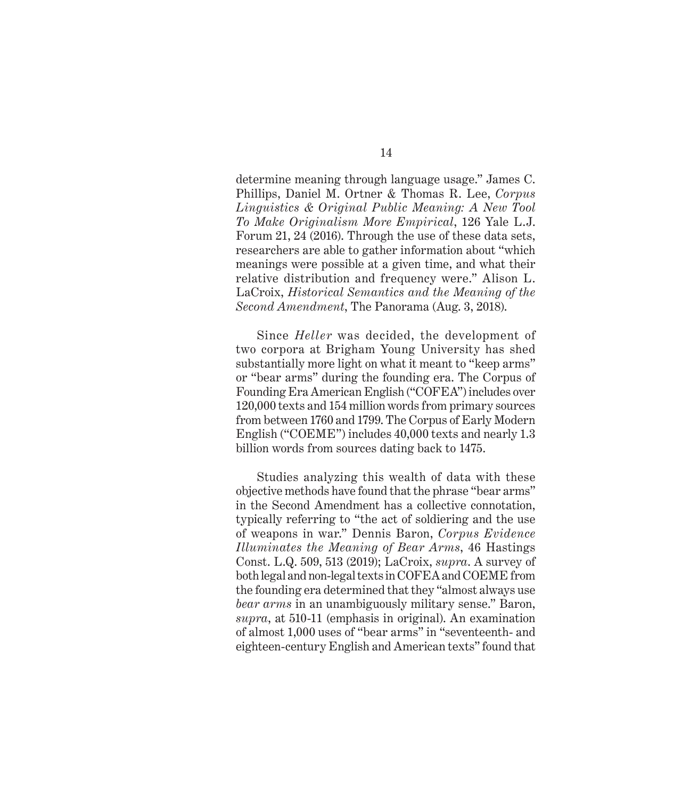determine meaning through language usage." James C. Phillips, Daniel M. Ortner & Thomas R. Lee, *Corpus Linguistics & Original Public Meaning: A New Tool To Make Originalism More Empirical*, 126 Yale L.J. Forum 21, 24 (2016). Through the use of these data sets, researchers are able to gather information about "which meanings were possible at a given time, and what their relative distribution and frequency were." Alison L. LaCroix, *Historical Semantics and the Meaning of the Second Amendment*, The Panorama (Aug. 3, 2018).

Since *Heller* was decided, the development of two corpora at Brigham Young University has shed substantially more light on what it meant to "keep arms" or "bear arms" during the founding era. The Corpus of Founding Era American English ("COFEA") includes over 120,000 texts and 154 million words from primary sources from between 1760 and 1799. The Corpus of Early Modern English ("COEME") includes 40,000 texts and nearly 1.3 billion words from sources dating back to 1475.

Studies analyzing this wealth of data with these objective methods have found that the phrase "bear arms" in the Second Amendment has a collective connotation, typically referring to "the act of soldiering and the use of weapons in war." Dennis Baron, *Corpus Evidence Illuminates the Meaning of Bear Arms*, 46 Hastings Const. L.Q. 509, 513 (2019); LaCroix, *supra*. A survey of both legal and non-legal texts in COFEA and COEME from the founding era determined that they "almost always use *bear arms* in an unambiguously military sense." Baron, *supra*, at 510-11 (emphasis in original). An examination of almost 1,000 uses of "bear arms" in "seventeenth- and eighteen-century English and American texts" found that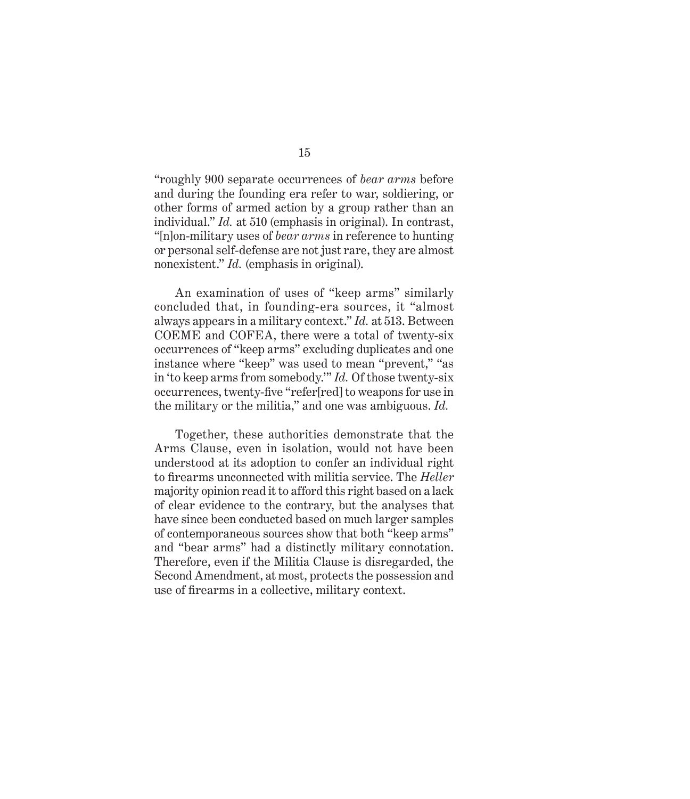"roughly 900 separate occurrences of *bear arms* before and during the founding era refer to war, soldiering, or other forms of armed action by a group rather than an individual." *Id.* at 510 (emphasis in original). In contrast, "[n]on-military uses of *bear arms* in reference to hunting or personal self-defense are not just rare, they are almost nonexistent." *Id.* (emphasis in original).

An examination of uses of "keep arms" similarly concluded that, in founding-era sources, it "almost always appears in a military context." *Id.* at 513. Between COEME and COFEA, there were a total of twenty-six occurrences of "keep arms" excluding duplicates and one instance where "keep" was used to mean "prevent," "as in 'to keep arms from somebody.'" *Id.* Of those twenty-six occurrences, twenty-five "refer[red] to weapons for use in the military or the militia," and one was ambiguous. *Id.*

Together, these authorities demonstrate that the Arms Clause, even in isolation, would not have been understood at its adoption to confer an individual right to firearms unconnected with militia service. The *Heller*  majority opinion read it to afford this right based on a lack of clear evidence to the contrary, but the analyses that have since been conducted based on much larger samples of contemporaneous sources show that both "keep arms" and "bear arms" had a distinctly military connotation. Therefore, even if the Militia Clause is disregarded, the Second Amendment, at most, protects the possession and use of firearms in a collective, military context.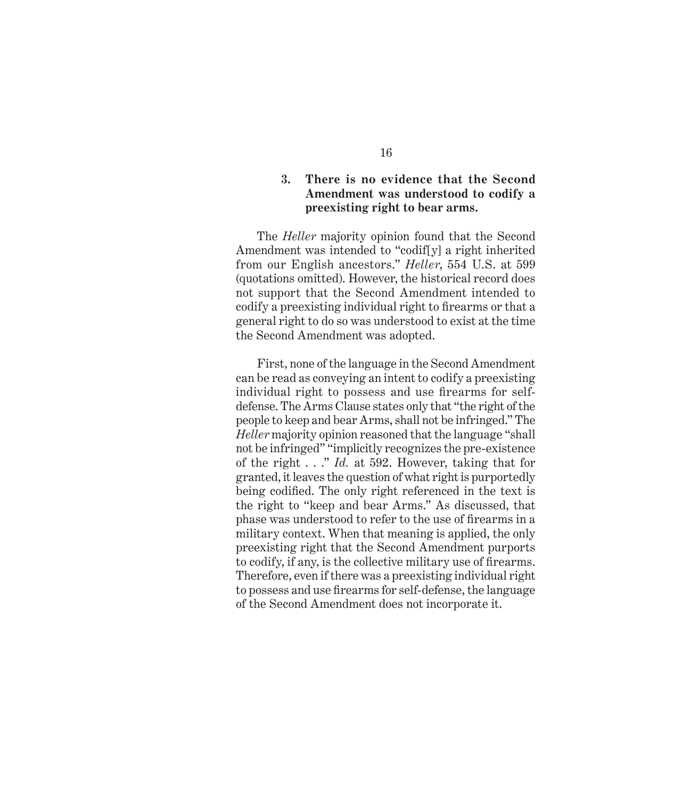### **3. There is no evidence that the Second Amendment was understood to codify a preexisting right to bear arms.**

The *Heller* majority opinion found that the Second Amendment was intended to "codif[y] a right inherited from our English ancestors." *Heller*, 554 U.S. at 599 (quotations omitted). However, the historical record does not support that the Second Amendment intended to codify a preexisting individual right to firearms or that a general right to do so was understood to exist at the time the Second Amendment was adopted.

First, none of the language in the Second Amendment can be read as conveying an intent to codify a preexisting individual right to possess and use firearms for selfdefense. The Arms Clause states only that "the right of the people to keep and bear Arms, shall not be infringed." The *Heller* majority opinion reasoned that the language "shall not be infringed" "implicitly recognizes the pre-existence of the right . . ." *Id.* at 592. However, taking that for granted, it leaves the question of what right is purportedly being codified. The only right referenced in the text is the right to "keep and bear Arms." As discussed, that phase was understood to refer to the use of firearms in a military context. When that meaning is applied, the only preexisting right that the Second Amendment purports to codify, if any, is the collective military use of firearms. Therefore, even if there was a preexisting individual right to possess and use firearms for self-defense, the language of the Second Amendment does not incorporate it.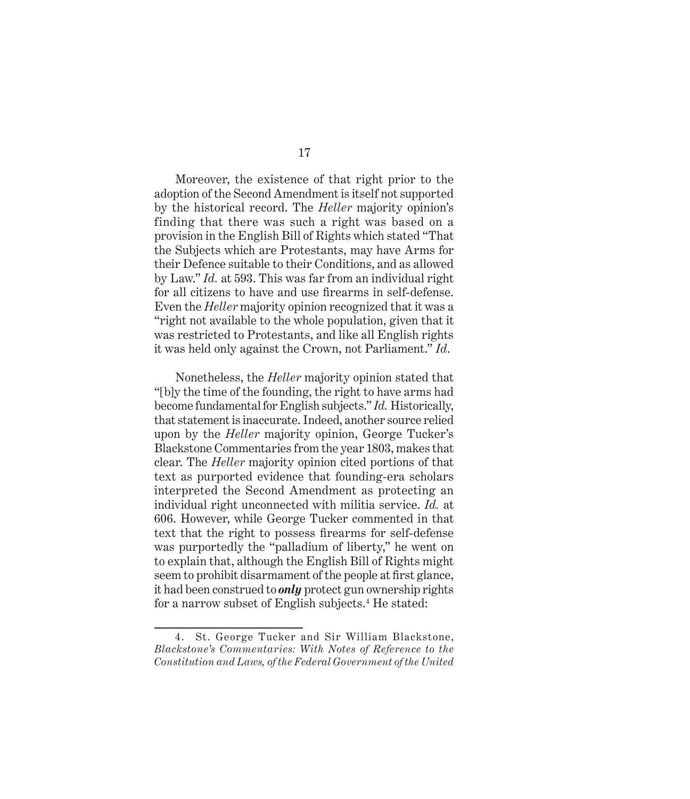Moreover, the existence of that right prior to the adoption of the Second Amendment is itself not supported by the historical record. The *Heller* majority opinion's finding that there was such a right was based on a provision in the English Bill of Rights which stated "That the Subjects which are Protestants, may have Arms for their Defence suitable to their Conditions, and as allowed by Law." *Id.* at 593. This was far from an individual right for all citizens to have and use firearms in self-defense. Even the *Heller* majority opinion recognized that it was a "right not available to the whole population, given that it was restricted to Protestants, and like all English rights it was held only against the Crown, not Parliament." *Id*.

Nonetheless, the *Heller* majority opinion stated that "[b]y the time of the founding, the right to have arms had become fundamental for English subjects." *Id.* Historically, that statement is inaccurate. Indeed, another source relied upon by the *Heller* majority opinion, George Tucker's Blackstone Commentaries from the year 1803, makes that clear. The *Heller* majority opinion cited portions of that text as purported evidence that founding-era scholars interpreted the Second Amendment as protecting an individual right unconnected with militia service. *Id.* at 606. However, while George Tucker commented in that text that the right to possess firearms for self-defense was purportedly the "palladium of liberty," he went on to explain that, although the English Bill of Rights might seem to prohibit disarmament of the people at first glance, it had been construed to *only* protect gun ownership rights for a narrow subset of English subjects.<sup>4</sup> He stated:

<sup>4.</sup> St. George Tucker and Sir William Blackstone, *Blackstone's Commentaries: With Notes of Reference to the Constitution and Laws, of the Federal Government of the United*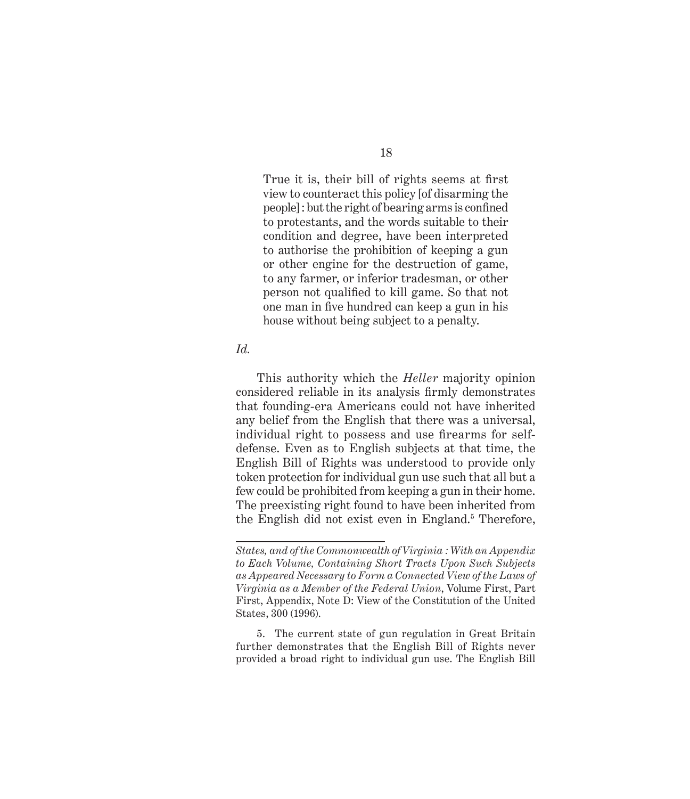True it is, their bill of rights seems at first view to counteract this policy [of disarming the people] : but the right of bearing arms is confined to protestants, and the words suitable to their condition and degree, have been interpreted to authorise the prohibition of keeping a gun or other engine for the destruction of game, to any farmer, or inferior tradesman, or other person not qualified to kill game. So that not one man in five hundred can keep a gun in his house without being subject to a penalty.

#### *Id.*

This authority which the *Heller* majority opinion considered reliable in its analysis firmly demonstrates that founding-era Americans could not have inherited any belief from the English that there was a universal, individual right to possess and use firearms for selfdefense. Even as to English subjects at that time, the English Bill of Rights was understood to provide only token protection for individual gun use such that all but a few could be prohibited from keeping a gun in their home. The preexisting right found to have been inherited from the English did not exist even in England.<sup>5</sup> Therefore,

*States, and of the Commonwealth of Virginia : With an Appendix to Each Volume, Containing Short Tracts Upon Such Subjects as Appeared Necessary to Form a Connected View of the Laws of Virginia as a Member of the Federal Union*, Volume First, Part First, Appendix, Note D: View of the Constitution of the United States, 300 (1996).

<sup>5.</sup> The current state of gun regulation in Great Britain further demonstrates that the English Bill of Rights never provided a broad right to individual gun use. The English Bill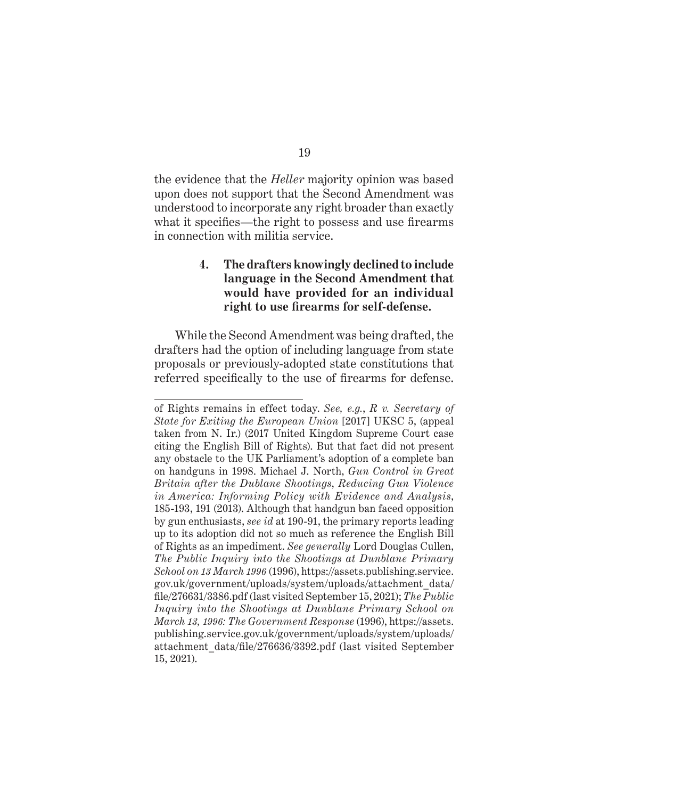the evidence that the *Heller* majority opinion was based upon does not support that the Second Amendment was understood to incorporate any right broader than exactly what it specifies—the right to possess and use firearms in connection with militia service.

## **4. The drafters knowingly declined to include language in the Second Amendment that would have provided for an individual right to use firearms for self-defense.**

While the Second Amendment was being drafted, the drafters had the option of including language from state proposals or previously-adopted state constitutions that referred specifically to the use of firearms for defense.

of Rights remains in effect today. *See, e.g.*, *R v. Secretary of State for Exiting the European Union* [2017] UKSC 5, (appeal taken from N. Ir.) (2017 United Kingdom Supreme Court case citing the English Bill of Rights). But that fact did not present any obstacle to the UK Parliament's adoption of a complete ban on handguns in 1998. Michael J. North, *Gun Control in Great Britain after the Dublane Shootings*, *Reducing Gun Violence in America: Informing Policy with Evidence and Analysis*, 185-193, 191 (2013). Although that handgun ban faced opposition by gun enthusiasts, *see id* at 190-91, the primary reports leading up to its adoption did not so much as reference the English Bill of Rights as an impediment. *See generally* Lord Douglas Cullen, *The Public Inquiry into the Shootings at Dunblane Primary School on 13 March 1996* (1996), https://assets.publishing.service. gov.uk/government/uploads/system/uploads/attachment\_data/ file/276631/3386.pdf (last visited September 15, 2021); *The Public Inquiry into the Shootings at Dunblane Primary School on March 13, 1996: The Government Response* (1996), https://assets. publishing.service.gov.uk/government/uploads/system/uploads/ attachment\_data/file/276636/3392.pdf (last visited September 15, 2021).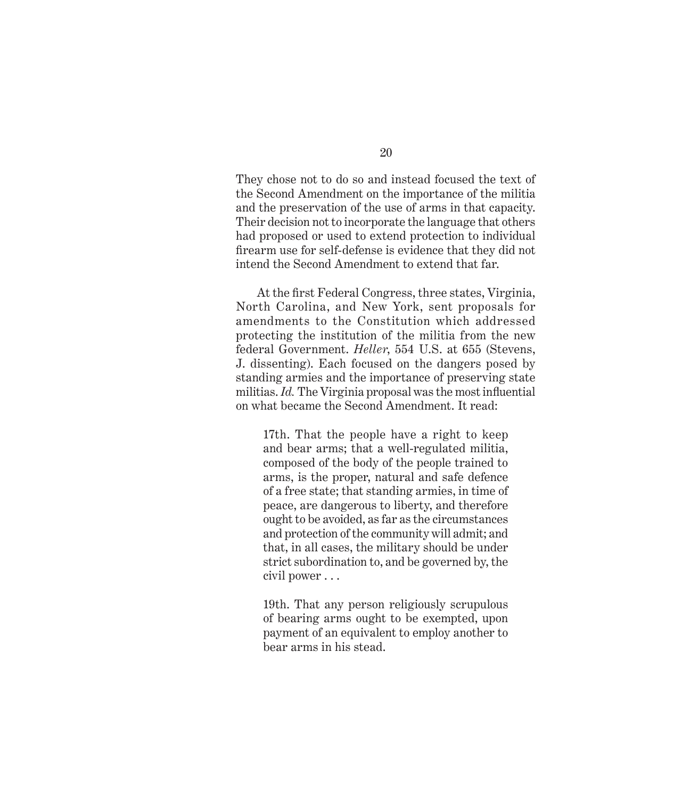They chose not to do so and instead focused the text of the Second Amendment on the importance of the militia and the preservation of the use of arms in that capacity. Their decision not to incorporate the language that others had proposed or used to extend protection to individual firearm use for self-defense is evidence that they did not intend the Second Amendment to extend that far.

At the first Federal Congress, three states, Virginia, North Carolina, and New York, sent proposals for amendments to the Constitution which addressed protecting the institution of the militia from the new federal Government. *Heller*, 554 U.S. at 655 (Stevens, J. dissenting). Each focused on the dangers posed by standing armies and the importance of preserving state militias. *Id.* The Virginia proposal was the most influential on what became the Second Amendment. It read:

17th. That the people have a right to keep and bear arms; that a well-regulated militia, composed of the body of the people trained to arms, is the proper, natural and safe defence of a free state; that standing armies, in time of peace, are dangerous to liberty, and therefore ought to be avoided, as far as the circumstances and protection of the community will admit; and that, in all cases, the military should be under strict subordination to, and be governed by, the civil power . . .

19th. That any person religiously scrupulous of bearing arms ought to be exempted, upon payment of an equivalent to employ another to bear arms in his stead.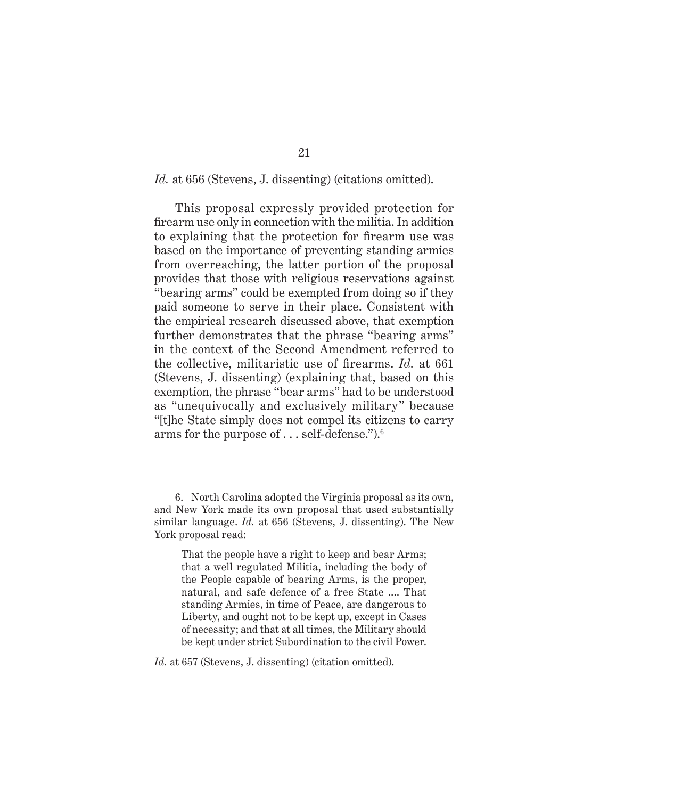#### Id. at 656 (Stevens, J. dissenting) (citations omitted).

This proposal expressly provided protection for firearm use only in connection with the militia. In addition to explaining that the protection for firearm use was based on the importance of preventing standing armies from overreaching, the latter portion of the proposal provides that those with religious reservations against "bearing arms" could be exempted from doing so if they paid someone to serve in their place. Consistent with the empirical research discussed above, that exemption further demonstrates that the phrase "bearing arms" in the context of the Second Amendment referred to the collective, militaristic use of firearms. *Id.* at 661 (Stevens, J. dissenting) (explaining that, based on this exemption, the phrase "bear arms" had to be understood as "unequivocally and exclusively military" because "[t]he State simply does not compel its citizens to carry arms for the purpose of . . . self-defense.").6

*Id.* at 657 (Stevens, J. dissenting) (citation omitted).

<sup>6.</sup> North Carolina adopted the Virginia proposal as its own, and New York made its own proposal that used substantially similar language. *Id.* at 656 (Stevens, J. dissenting). The New York proposal read:

That the people have a right to keep and bear Arms; that a well regulated Militia, including the body of the People capable of bearing Arms, is the proper, natural, and safe defence of a free State .... That standing Armies, in time of Peace, are dangerous to Liberty, and ought not to be kept up, except in Cases of necessity; and that at all times, the Military should be kept under strict Subordination to the civil Power.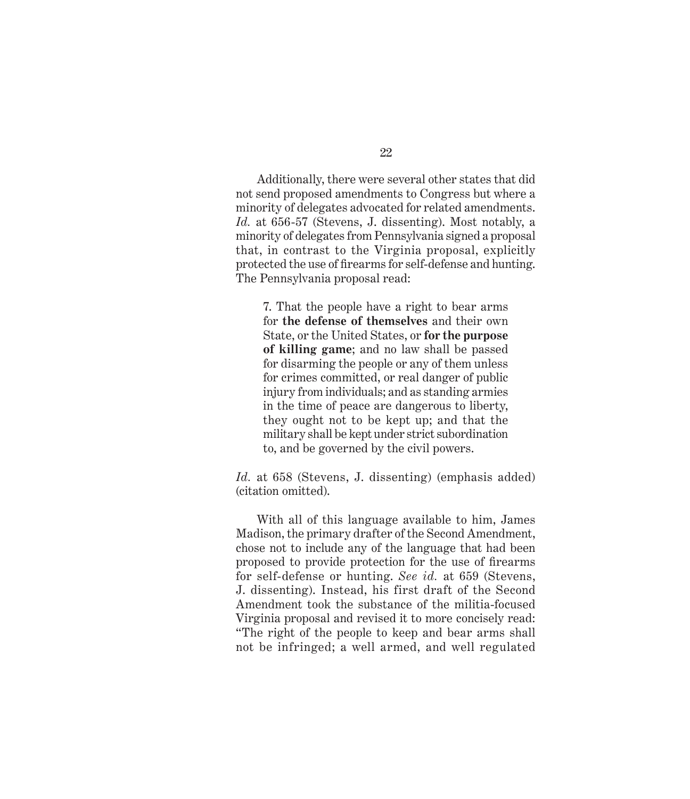Additionally, there were several other states that did not send proposed amendments to Congress but where a minority of delegates advocated for related amendments. *Id.* at 656-57 (Stevens, J. dissenting). Most notably, a minority of delegates from Pennsylvania signed a proposal that, in contrast to the Virginia proposal, explicitly protected the use of firearms for self-defense and hunting. The Pennsylvania proposal read:

7. That the people have a right to bear arms for **the defense of themselves** and their own State, or the United States, or **for the purpose of killing game**; and no law shall be passed for disarming the people or any of them unless for crimes committed, or real danger of public injury from individuals; and as standing armies in the time of peace are dangerous to liberty, they ought not to be kept up; and that the military shall be kept under strict subordination to, and be governed by the civil powers.

*Id.* at 658 (Stevens, J. dissenting) (emphasis added) (citation omitted).

With all of this language available to him, James Madison, the primary drafter of the Second Amendment, chose not to include any of the language that had been proposed to provide protection for the use of firearms for self-defense or hunting. *See id.* at 659 (Stevens, J. dissenting). Instead, his first draft of the Second Amendment took the substance of the militia-focused Virginia proposal and revised it to more concisely read: "The right of the people to keep and bear arms shall not be infringed; a well armed, and well regulated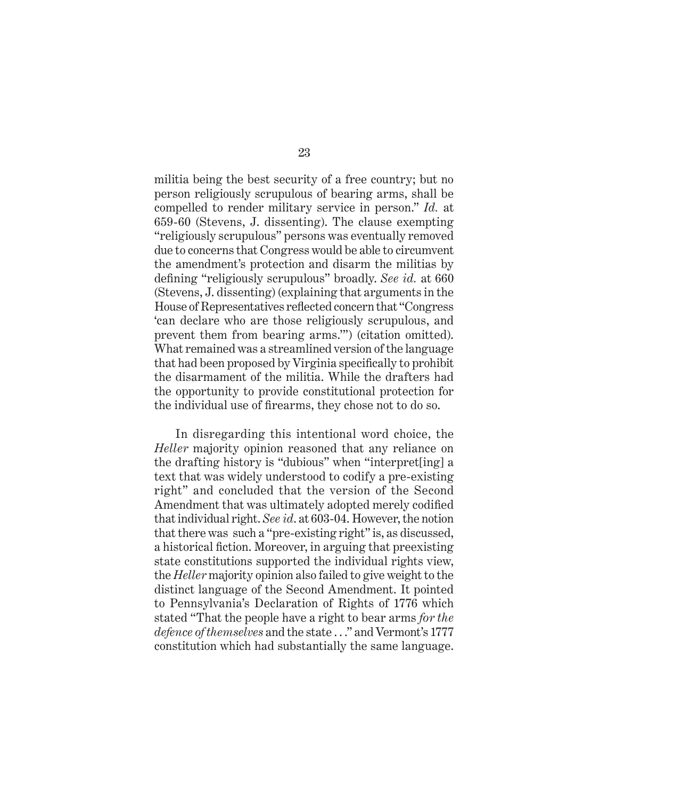militia being the best security of a free country; but no person religiously scrupulous of bearing arms, shall be compelled to render military service in person." *Id.* at 659-60 (Stevens, J. dissenting). The clause exempting "religiously scrupulous" persons was eventually removed due to concerns that Congress would be able to circumvent the amendment's protection and disarm the militias by defining "religiously scrupulous" broadly. *See id.* at 660 (Stevens, J. dissenting) (explaining that arguments in the House of Representatives reflected concern that "Congress 'can declare who are those religiously scrupulous, and prevent them from bearing arms.'") (citation omitted). What remained was a streamlined version of the language that had been proposed by Virginia specifically to prohibit the disarmament of the militia. While the drafters had the opportunity to provide constitutional protection for the individual use of firearms, they chose not to do so.

In disregarding this intentional word choice, the *Heller* majority opinion reasoned that any reliance on the drafting history is "dubious" when "interpret[ing] a text that was widely understood to codify a pre-existing right" and concluded that the version of the Second Amendment that was ultimately adopted merely codified that individual right. *See id*. at 603-04. However, the notion that there was such a "pre-existing right" is, as discussed, a historical fiction. Moreover, in arguing that preexisting state constitutions supported the individual rights view, the *Heller* majority opinion also failed to give weight to the distinct language of the Second Amendment. It pointed to Pennsylvania's Declaration of Rights of 1776 which stated "That the people have a right to bear arms *for the defence of themselves* and the state . . ." and Vermont's 1777 constitution which had substantially the same language.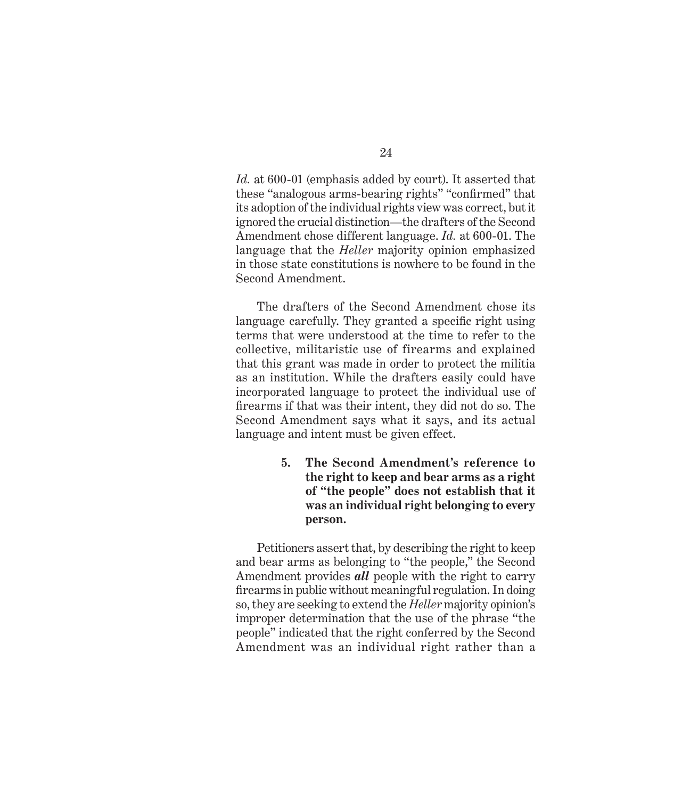*Id.* at 600-01 (emphasis added by court). It asserted that these "analogous arms-bearing rights" "confirmed" that its adoption of the individual rights view was correct, but it ignored the crucial distinction—the drafters of the Second Amendment chose different language. *Id.* at 600-01. The language that the *Heller* majority opinion emphasized in those state constitutions is nowhere to be found in the Second Amendment.

The drafters of the Second Amendment chose its language carefully. They granted a specific right using terms that were understood at the time to refer to the collective, militaristic use of firearms and explained that this grant was made in order to protect the militia as an institution. While the drafters easily could have incorporated language to protect the individual use of firearms if that was their intent, they did not do so. The Second Amendment says what it says, and its actual language and intent must be given effect.

> **5. The Second Amendment's reference to the right to keep and bear arms as a right of "the people" does not establish that it was an individual right belonging to every person.**

Petitioners assert that, by describing the right to keep and bear arms as belonging to "the people," the Second Amendment provides *all* people with the right to carry firearms in public without meaningful regulation. In doing so, they are seeking to extend the *Heller* majority opinion's improper determination that the use of the phrase "the people" indicated that the right conferred by the Second Amendment was an individual right rather than a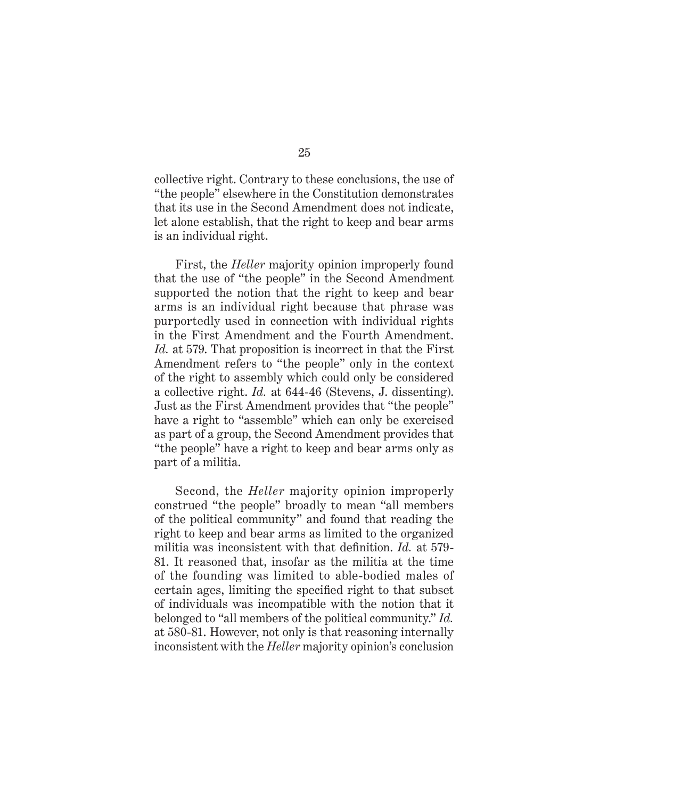collective right. Contrary to these conclusions, the use of "the people" elsewhere in the Constitution demonstrates that its use in the Second Amendment does not indicate, let alone establish, that the right to keep and bear arms is an individual right.

First, the *Heller* majority opinion improperly found that the use of "the people" in the Second Amendment supported the notion that the right to keep and bear arms is an individual right because that phrase was purportedly used in connection with individual rights in the First Amendment and the Fourth Amendment. *Id.* at 579. That proposition is incorrect in that the First Amendment refers to "the people" only in the context of the right to assembly which could only be considered a collective right. *Id.* at 644-46 (Stevens, J. dissenting). Just as the First Amendment provides that "the people" have a right to "assemble" which can only be exercised as part of a group, the Second Amendment provides that "the people" have a right to keep and bear arms only as part of a militia.

Second, the *Heller* majority opinion improperly construed "the people" broadly to mean "all members of the political community" and found that reading the right to keep and bear arms as limited to the organized militia was inconsistent with that definition. *Id.* at 579- 81. It reasoned that, insofar as the militia at the time of the founding was limited to able-bodied males of certain ages, limiting the specified right to that subset of individuals was incompatible with the notion that it belonged to "all members of the political community." *Id.* at 580-81. However, not only is that reasoning internally inconsistent with the *Heller* majority opinion's conclusion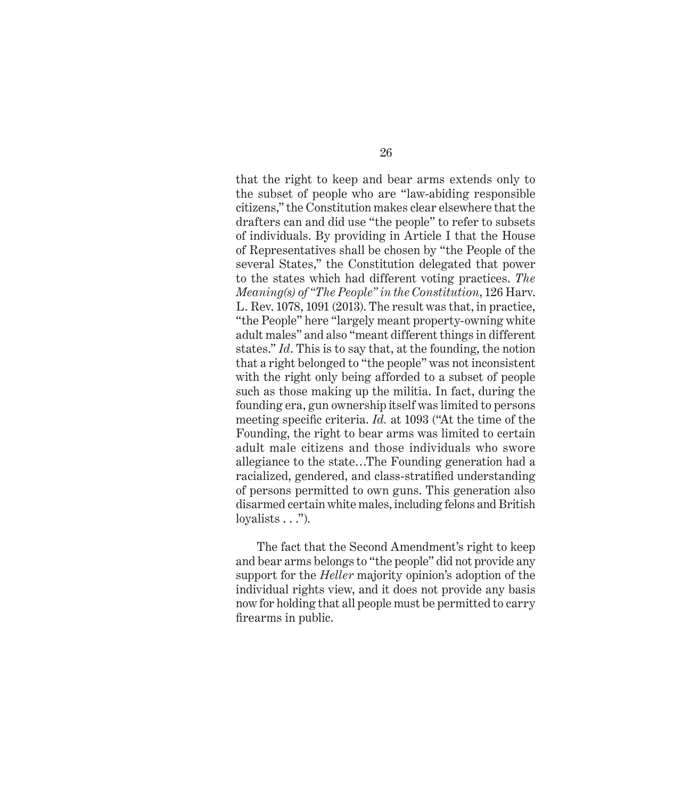that the right to keep and bear arms extends only to the subset of people who are "law-abiding responsible citizens," the Constitution makes clear elsewhere that the drafters can and did use "the people" to refer to subsets of individuals. By providing in Article I that the House of Representatives shall be chosen by "the People of the several States," the Constitution delegated that power to the states which had different voting practices. *The Meaning(s) of "The People" in the Constitution*, 126 Harv. L. Rev. 1078, 1091 (2013). The result was that, in practice, "the People" here "largely meant property-owning white adult males" and also "meant different things in different states." *Id*. This is to say that, at the founding, the notion that a right belonged to "the people" was not inconsistent with the right only being afforded to a subset of people such as those making up the militia. In fact, during the founding era, gun ownership itself was limited to persons meeting specific criteria. *Id.* at 1093 ("At the time of the Founding, the right to bear arms was limited to certain adult male citizens and those individuals who swore allegiance to the state…The Founding generation had a racialized, gendered, and class-stratified understanding of persons permitted to own guns. This generation also disarmed certain white males, including felons and British loyalists  $\ldots$ ").

The fact that the Second Amendment's right to keep and bear arms belongs to "the people" did not provide any support for the *Heller* majority opinion's adoption of the individual rights view, and it does not provide any basis now for holding that all people must be permitted to carry firearms in public.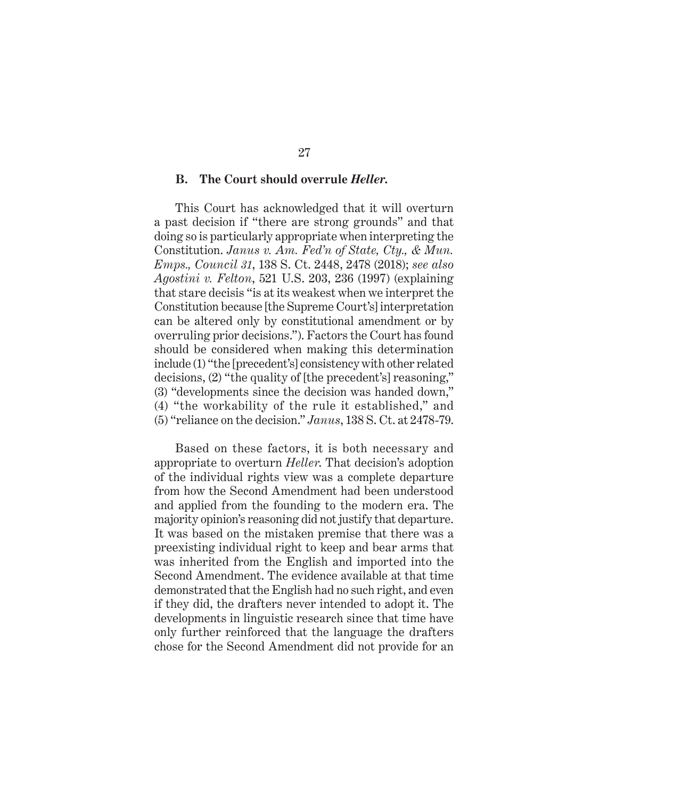#### **B. The Court should overrule** *Heller***.**

This Court has acknowledged that it will overturn a past decision if "there are strong grounds" and that doing so is particularly appropriate when interpreting the Constitution. *Janus v. Am. Fed'n of State, Cty., & Mun. Emps., Council 31*, 138 S. Ct. 2448, 2478 (2018); *see also Agostini v. Felton*, 521 U.S. 203, 236 (1997) (explaining that stare decisis "is at its weakest when we interpret the Constitution because [the Supreme Court's] interpretation can be altered only by constitutional amendment or by overruling prior decisions."). Factors the Court has found should be considered when making this determination include (1) "the [precedent's] consistency with other related decisions, (2) "the quality of [the precedent's] reasoning," (3) "developments since the decision was handed down," (4) "the workability of the rule it established," and (5) "reliance on the decision." *Janus*, 138 S. Ct. at 2478-79.

Based on these factors, it is both necessary and appropriate to overturn *Heller*. That decision's adoption of the individual rights view was a complete departure from how the Second Amendment had been understood and applied from the founding to the modern era. The majority opinion's reasoning did not justify that departure. It was based on the mistaken premise that there was a preexisting individual right to keep and bear arms that was inherited from the English and imported into the Second Amendment. The evidence available at that time demonstrated that the English had no such right, and even if they did, the drafters never intended to adopt it. The developments in linguistic research since that time have only further reinforced that the language the drafters chose for the Second Amendment did not provide for an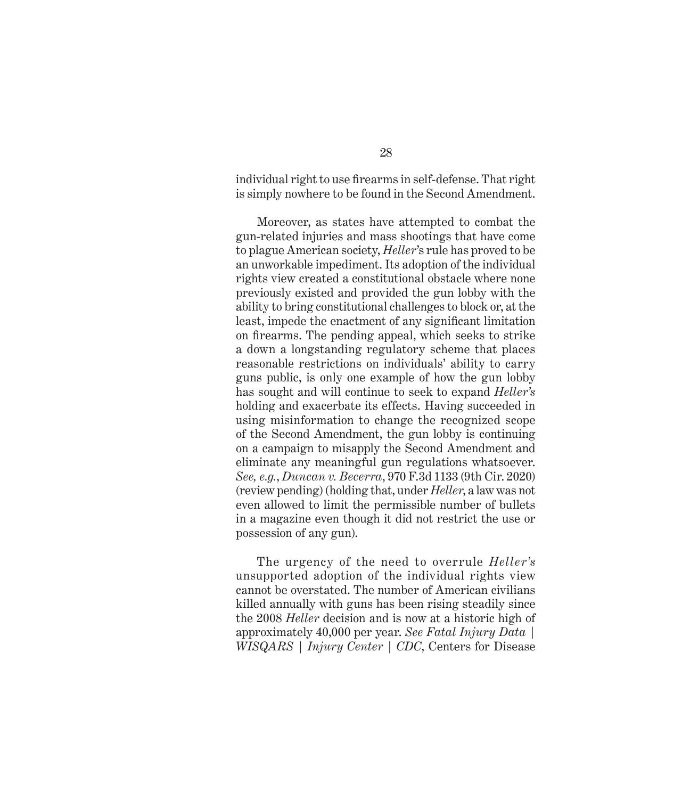individual right to use firearms in self-defense. That right is simply nowhere to be found in the Second Amendment.

Moreover, as states have attempted to combat the gun-related injuries and mass shootings that have come to plague American society, *Heller*'s rule has proved to be an unworkable impediment. Its adoption of the individual rights view created a constitutional obstacle where none previously existed and provided the gun lobby with the ability to bring constitutional challenges to block or, at the least, impede the enactment of any significant limitation on firearms. The pending appeal, which seeks to strike a down a longstanding regulatory scheme that places reasonable restrictions on individuals' ability to carry guns public, is only one example of how the gun lobby has sought and will continue to seek to expand *Heller's* holding and exacerbate its effects. Having succeeded in using misinformation to change the recognized scope of the Second Amendment, the gun lobby is continuing on a campaign to misapply the Second Amendment and eliminate any meaningful gun regulations whatsoever. *See, e.g.*, *Duncan v. Becerra*, 970 F.3d 1133 (9th Cir. 2020) (review pending) (holding that, under *Heller*, a law was not even allowed to limit the permissible number of bullets in a magazine even though it did not restrict the use or possession of any gun).

The urgency of the need to overrule *Heller's*  unsupported adoption of the individual rights view cannot be overstated. The number of American civilians killed annually with guns has been rising steadily since the 2008 *Heller* decision and is now at a historic high of approximately 40,000 per year. *See Fatal Injury Data | WISQARS | Injury Center | CDC*, Centers for Disease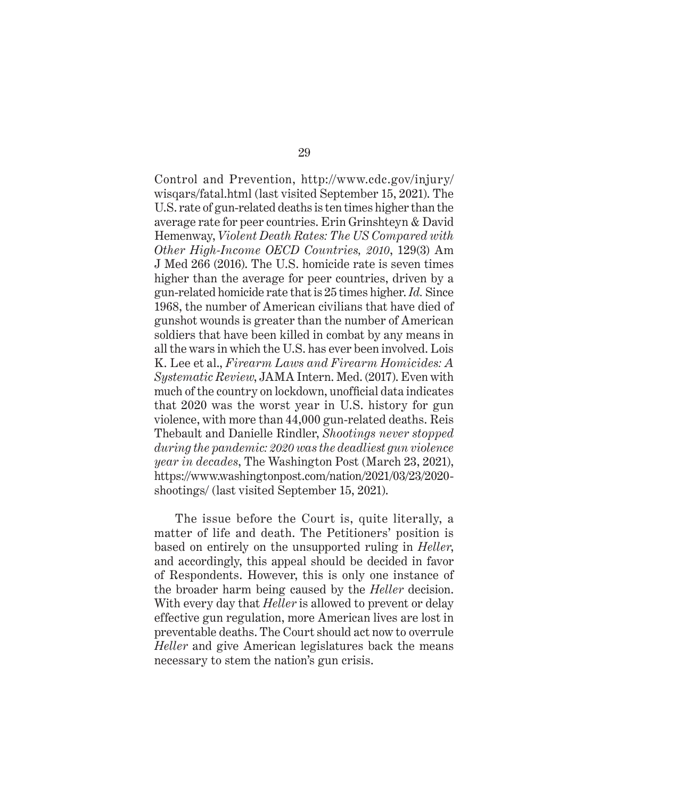Control and Prevention, http://www.cdc.gov/injury/ wisqars/fatal.html (last visited September 15, 2021). The U.S. rate of gun-related deaths is ten times higher than the average rate for peer countries. Erin Grinshteyn & David Hemenway, *Violent Death Rates: The US Compared with Other High-Income OECD Countries, 2010*, 129(3) Am J Med 266 (2016). The U.S. homicide rate is seven times higher than the average for peer countries, driven by a gun-related homicide rate that is 25 times higher. *Id.* Since 1968, the number of American civilians that have died of gunshot wounds is greater than the number of American soldiers that have been killed in combat by any means in all the wars in which the U.S. has ever been involved. Lois K. Lee et al., *Firearm Laws and Firearm Homicides: A Systematic Review*, JAMA Intern. Med. (2017). Even with much of the country on lockdown, unofficial data indicates that 2020 was the worst year in U.S. history for gun violence, with more than 44,000 gun-related deaths. Reis Thebault and Danielle Rindler, *Shootings never stopped during the pandemic: 2020 was the deadliest gun violence year in decades*, The Washington Post (March 23, 2021), https://www.washingtonpost.com/nation/2021/03/23/2020 shootings/ (last visited September 15, 2021).

The issue before the Court is, quite literally, a matter of life and death. The Petitioners' position is based on entirely on the unsupported ruling in *Heller*, and accordingly, this appeal should be decided in favor of Respondents. However, this is only one instance of the broader harm being caused by the *Heller* decision. With every day that *Heller* is allowed to prevent or delay effective gun regulation, more American lives are lost in preventable deaths. The Court should act now to overrule *Heller* and give American legislatures back the means necessary to stem the nation's gun crisis.